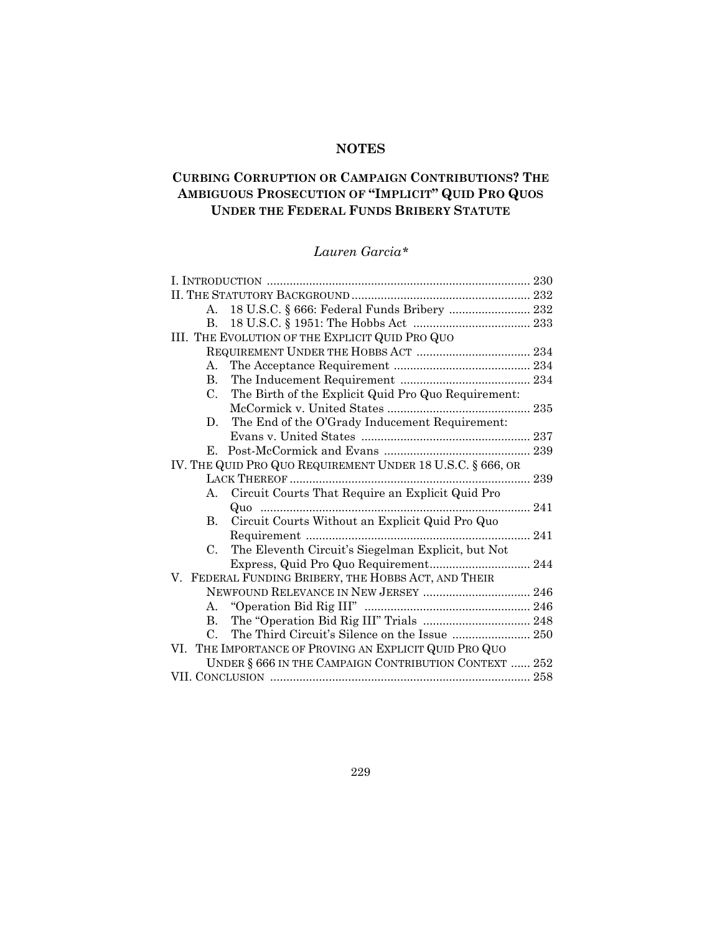# **NOTES**

# **CURBING CORRUPTION OR CAMPAIGN CONTRIBUTIONS? THE AMBIGUOUS PROSECUTION OF "IMPLICIT" QUID PRO QUOS UNDER THE FEDERAL FUNDS BRIBERY STATUTE**

# *Lauren Garcia\**

| 18 U.S.C. § 666: Federal Funds Bribery  232<br>$A_{\cdot}$   |  |
|--------------------------------------------------------------|--|
| B.                                                           |  |
| III. THE EVOLUTION OF THE EXPLICIT QUID PRO QUO              |  |
|                                                              |  |
| Α.                                                           |  |
| В.                                                           |  |
| The Birth of the Explicit Quid Pro Quo Requirement:<br>C.    |  |
|                                                              |  |
| The End of the O'Grady Inducement Requirement:<br>D.         |  |
|                                                              |  |
| $\mathbf{E}$                                                 |  |
| IV. THE QUID PRO QUO REQUIREMENT UNDER 18 U.S.C. § 666, OR   |  |
|                                                              |  |
| Circuit Courts That Require an Explicit Quid Pro<br>A.       |  |
|                                                              |  |
| <b>B.</b><br>Circuit Courts Without an Explicit Quid Pro Quo |  |
|                                                              |  |
| The Eleventh Circuit's Siegelman Explicit, but Not<br>C.     |  |
|                                                              |  |
| V. FEDERAL FUNDING BRIBERY, THE HOBBS ACT, AND THEIR         |  |
|                                                              |  |
| A.                                                           |  |
| В.                                                           |  |
| $C_{-}$                                                      |  |
| VI. THE IMPORTANCE OF PROVING AN EXPLICIT QUID PRO QUO       |  |
| UNDER § 666 IN THE CAMPAIGN CONTRIBUTION CONTEXT  252        |  |
|                                                              |  |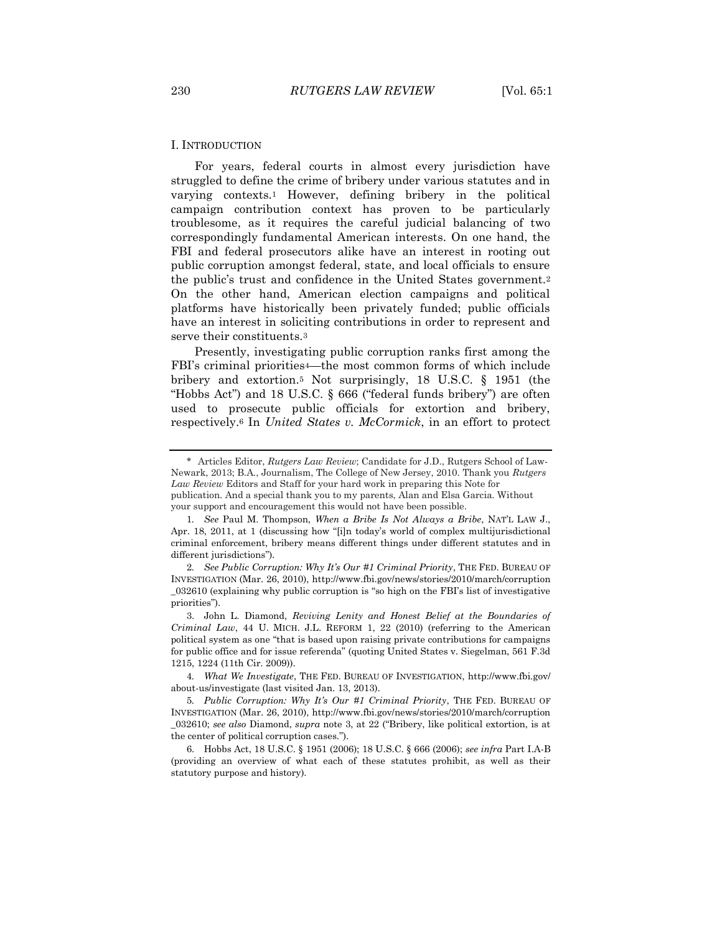#### I. INTRODUCTION

For years, federal courts in almost every jurisdiction have struggled to define the crime of bribery under various statutes and in varying contexts.<sup>1</sup> However, defining bribery in the political campaign contribution context has proven to be particularly troublesome, as it requires the careful judicial balancing of two correspondingly fundamental American interests. On one hand, the FBI and federal prosecutors alike have an interest in rooting out public corruption amongst federal, state, and local officials to ensure the public's trust and confidence in the United States government.<sup>2</sup> On the other hand, American election campaigns and political platforms have historically been privately funded; public officials have an interest in soliciting contributions in order to represent and serve their constituents.<sup>3</sup>

Presently, investigating public corruption ranks first among the FBI's criminal priorities4—the most common forms of which include bribery and extortion.<sup>5</sup> Not surprisingly, 18 U.S.C. § 1951 (the "Hobbs Act") and 18 U.S.C. § 666 ("federal funds bribery") are often used to prosecute public officials for extortion and bribery, respectively.<sup>6</sup> In *United States v. McCormick*, in an effort to protect

\*Articles Editor, *Rutgers Law Review*; Candidate for J.D., Rutgers School of Law-Newark, 2013; B.A., Journalism, The College of New Jersey, 2010. Thank you *Rutgers Law Review* Editors and Staff for your hard work in preparing this Note for publication. And a special thank you to my parents, Alan and Elsa Garcia. Without

your support and encouragement this would not have been possible.

<sup>1</sup>*. See* Paul M. Thompson, *When a Bribe Is Not Always a Bribe*, NAT'L LAW J., Apr. 18, 2011, at 1 (discussing how "[i]n today's world of complex multijurisdictional criminal enforcement, bribery means different things under different statutes and in different jurisdictions").

<sup>2</sup>*. See Public Corruption: Why It's Our #1 Criminal Priority*, THE FED. BUREAU OF INVESTIGATION (Mar. 26, 2010), http://www.fbi.gov/news/stories/2010/march/corruption \_032610 (explaining why public corruption is "so high on the FBI's list of investigative priorities").

<sup>3.</sup> John L. Diamond, *Reviving Lenity and Honest Belief at the Boundaries of Criminal Law*, 44 U. MICH. J.L. REFORM 1, 22 (2010) (referring to the American political system as one "that is based upon raising private contributions for campaigns for public office and for issue referenda" (quoting United States v. Siegelman, 561 F.3d 1215, 1224 (11th Cir. 2009)).

<sup>4</sup>*. What We Investigate*, THE FED. BUREAU OF INVESTIGATION, http://www.fbi.gov/ about-us/investigate (last visited Jan. 13, 2013).

<sup>5</sup>*. Public Corruption: Why It's Our #1 Criminal Priority*, THE FED. BUREAU OF INVESTIGATION (Mar. 26, 2010), http://www.fbi.gov/news/stories/2010/march/corruption \_032610; *see also* Diamond, *supra* note 3, at 22 ("Bribery, like political extortion, is at the center of political corruption cases.").

<sup>6.</sup> Hobbs Act, 18 U.S.C. § 1951 (2006); 18 U.S.C. § 666 (2006); *see infra* Part I.A-B (providing an overview of what each of these statutes prohibit, as well as their statutory purpose and history).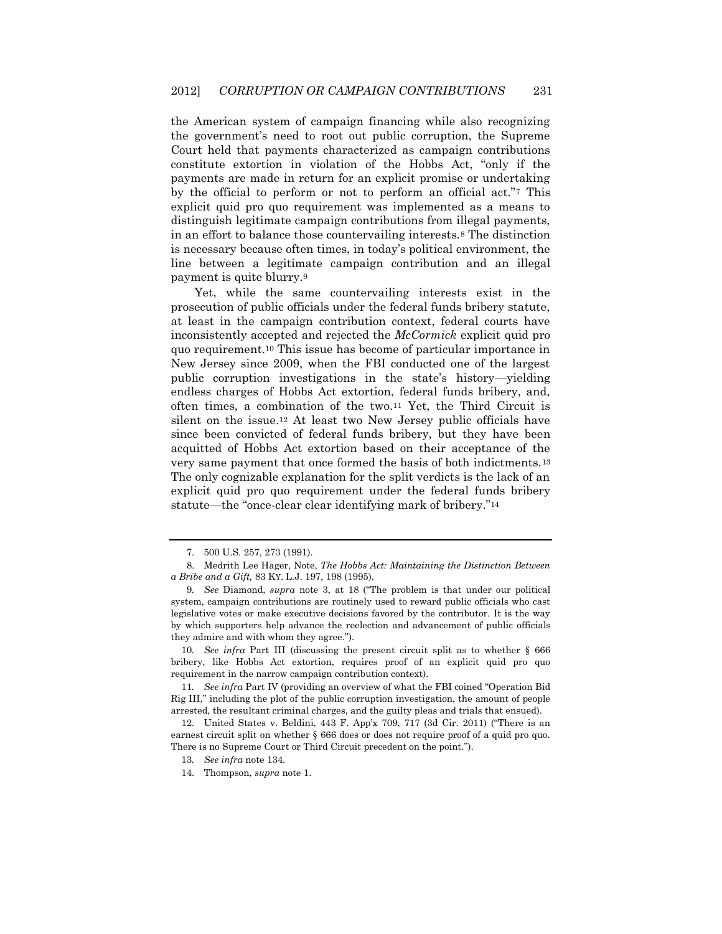the American system of campaign financing while also recognizing the government's need to root out public corruption, the Supreme Court held that payments characterized as campaign contributions constitute extortion in violation of the Hobbs Act, "only if the payments are made in return for an explicit promise or undertaking by the official to perform or not to perform an official act."<sup>7</sup> This explicit quid pro quo requirement was implemented as a means to distinguish legitimate campaign contributions from illegal payments, in an effort to balance those countervailing interests.<sup>8</sup> The distinction is necessary because often times, in today's political environment, the line between a legitimate campaign contribution and an illegal payment is quite blurry.<sup>9</sup>

Yet, while the same countervailing interests exist in the prosecution of public officials under the federal funds bribery statute, at least in the campaign contribution context, federal courts have inconsistently accepted and rejected the *McCormick* explicit quid pro quo requirement.<sup>10</sup> This issue has become of particular importance in New Jersey since 2009, when the FBI conducted one of the largest public corruption investigations in the state's history—yielding endless charges of Hobbs Act extortion, federal funds bribery, and, often times, a combination of the two.<sup>11</sup> Yet, the Third Circuit is silent on the issue.<sup>12</sup> At least two New Jersey public officials have since been convicted of federal funds bribery, but they have been acquitted of Hobbs Act extortion based on their acceptance of the very same payment that once formed the basis of both indictments.<sup>13</sup> The only cognizable explanation for the split verdicts is the lack of an explicit quid pro quo requirement under the federal funds bribery statute—the "once-clear clear identifying mark of bribery."<sup>14</sup>

<sup>7.</sup> 500 U.S. 257, 273 (1991).

<sup>8.</sup> Medrith Lee Hager, Note, *The Hobbs Act: Maintaining the Distinction Between a Bribe and a Gift,* 83 KY. L.J. 197, 198 (1995).

<sup>9</sup>*. See* Diamond, *supra* note 3, at 18 ("The problem is that under our political system, campaign contributions are routinely used to reward public officials who cast legislative votes or make executive decisions favored by the contributor. It is the way by which supporters help advance the reelection and advancement of public officials they admire and with whom they agree.").

<sup>10</sup>*. See infra* Part III (discussing the present circuit split as to whether § 666 bribery, like Hobbs Act extortion, requires proof of an explicit quid pro quo requirement in the narrow campaign contribution context).

<sup>11</sup>*. See infra* Part IV (providing an overview of what the FBI coined "Operation Bid Rig III," including the plot of the public corruption investigation, the amount of people arrested, the resultant criminal charges, and the guilty pleas and trials that ensued).

<sup>12.</sup> United States v. Beldini, 443 F. App'x 709, 717 (3d Cir. 2011) ("There is an earnest circuit split on whether § 666 does or does not require proof of a quid pro quo. There is no Supreme Court or Third Circuit precedent on the point.").

<sup>13</sup>*. See infra* note 134.

<sup>14.</sup> Thompson, *supra* note 1.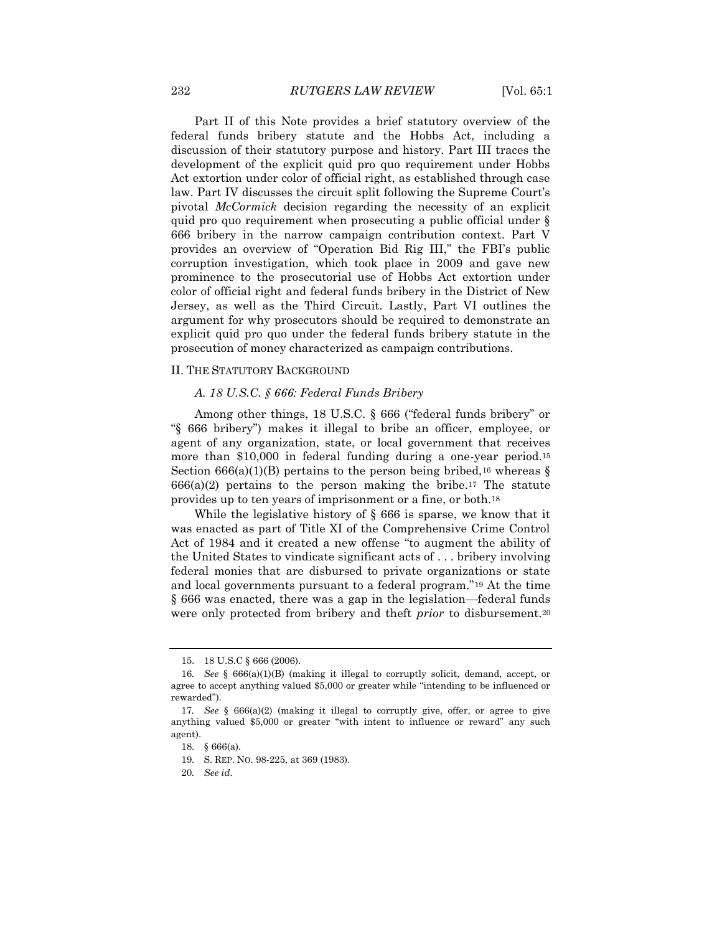Part II of this Note provides a brief statutory overview of the federal funds bribery statute and the Hobbs Act, including a discussion of their statutory purpose and history. Part III traces the development of the explicit quid pro quo requirement under Hobbs Act extortion under color of official right, as established through case law. Part IV discusses the circuit split following the Supreme Court's pivotal *McCormick* decision regarding the necessity of an explicit quid pro quo requirement when prosecuting a public official under § 666 bribery in the narrow campaign contribution context. Part V provides an overview of "Operation Bid Rig III," the FBI's public corruption investigation, which took place in 2009 and gave new prominence to the prosecutorial use of Hobbs Act extortion under color of official right and federal funds bribery in the District of New Jersey, as well as the Third Circuit. Lastly, Part VI outlines the argument for why prosecutors should be required to demonstrate an explicit quid pro quo under the federal funds bribery statute in the prosecution of money characterized as campaign contributions.

#### II. THE STATUTORY BACKGROUND

#### *A. 18 U.S.C. § 666: Federal Funds Bribery*

Among other things, 18 U.S.C. § 666 ("federal funds bribery" or "§ 666 bribery") makes it illegal to bribe an officer, employee, or agent of any organization, state, or local government that receives more than \$10,000 in federal funding during a one-year period.<sup>15</sup> Section  $666(a)(1)(B)$  pertains to the person being bribed,<sup>16</sup> whereas §  $666(a)(2)$  pertains to the person making the bribe.<sup>17</sup> The statute provides up to ten years of imprisonment or a fine, or both.<sup>18</sup>

While the legislative history of § 666 is sparse, we know that it was enacted as part of Title XI of the Comprehensive Crime Control Act of 1984 and it created a new offense "to augment the ability of the United States to vindicate significant acts of . . . bribery involving federal monies that are disbursed to private organizations or state and local governments pursuant to a federal program."<sup>19</sup> At the time § 666 was enacted, there was a gap in the legislation—federal funds were only protected from bribery and theft *prior* to disbursement.<sup>20</sup>

<sup>15.</sup> 18 U.S.C § 666 (2006).

<sup>16</sup>*. See* § 666(a)(1)(B) (making it illegal to corruptly solicit, demand, accept, or agree to accept anything valued \$5,000 or greater while "intending to be influenced or rewarded").

<sup>17</sup>*. See* § 666(a)(2) (making it illegal to corruptly give, offer, or agree to give anything valued \$5,000 or greater "with intent to influence or reward" any such agent).

<sup>18.</sup> § 666(a).

<sup>19.</sup> S. REP. NO. 98-225, at 369 (1983).

<sup>20</sup>*. See id.*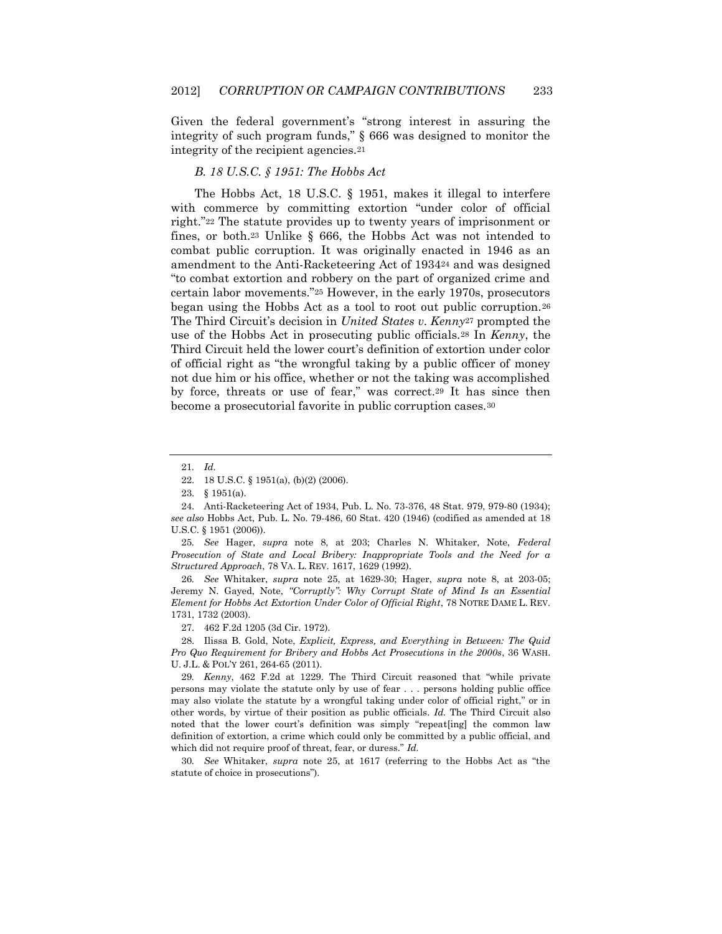Given the federal government's "strong interest in assuring the integrity of such program funds," § 666 was designed to monitor the integrity of the recipient agencies.<sup>21</sup>

## *B. 18 U.S.C. § 1951: The Hobbs Act*

The Hobbs Act, 18 U.S.C. § 1951, makes it illegal to interfere with commerce by committing extortion "under color of official right."<sup>22</sup> The statute provides up to twenty years of imprisonment or fines, or both.<sup>23</sup> Unlike § 666, the Hobbs Act was not intended to combat public corruption. It was originally enacted in 1946 as an amendment to the Anti-Racketeering Act of 1934<sup>24</sup> and was designed "to combat extortion and robbery on the part of organized crime and certain labor movements."<sup>25</sup> However, in the early 1970s, prosecutors began using the Hobbs Act as a tool to root out public corruption.<sup>26</sup> The Third Circuit's decision in *United States v. Kenny*<sup>27</sup> prompted the use of the Hobbs Act in prosecuting public officials.<sup>28</sup> In *Kenny*, the Third Circuit held the lower court's definition of extortion under color of official right as "the wrongful taking by a public officer of money not due him or his office, whether or not the taking was accomplished by force, threats or use of fear," was correct.<sup>29</sup> It has since then become a prosecutorial favorite in public corruption cases.<sup>30</sup>

23. § 1951(a).

25*. See* Hager, *supra* note 8, at 203; Charles N. Whitaker, Note, *Federal Prosecution of State and Local Bribery: Inappropriate Tools and the Need for a Structured Approach*, 78 VA. L. REV. 1617, 1629 (1992).

26*. See* Whitaker, *supra* note 25, at 1629-30; Hager, *supra* note 8, at 203-05; Jeremy N. Gayed, Note, *"Corruptly": Why Corrupt State of Mind Is an Essential Element for Hobbs Act Extortion Under Color of Official Right*, 78 NOTRE DAME L. REV. 1731, 1732 (2003).

28. Ilissa B. Gold, Note, *Explicit, Express, and Everything in Between: The Quid Pro Quo Requirement for Bribery and Hobbs Act Prosecutions in the 2000s*, 36 WASH. U. J.L. & POL'Y 261, 264-65 (2011).

29*. Kenny*, 462 F.2d at 1229. The Third Circuit reasoned that "while private persons may violate the statute only by use of fear . . . persons holding public office may also violate the statute by a wrongful taking under color of official right," or in other words, by virtue of their position as public officials. *Id.* The Third Circuit also noted that the lower court's definition was simply "repeat[ing] the common law definition of extortion, a crime which could only be committed by a public official, and which did not require proof of threat, fear, or duress." *Id.*

30*. See* Whitaker, *supra* note 25, at 1617 (referring to the Hobbs Act as "the statute of choice in prosecutions").

<sup>21</sup>*. Id.*

<sup>22.</sup> 18 U.S.C. § 1951(a), (b)(2) (2006).

<sup>24.</sup> Anti-Racketeering Act of 1934, Pub. L. No. 73-376, 48 Stat. 979, 979-80 (1934); *see also* Hobbs Act, Pub. L. No. 79-486, 60 Stat. 420 (1946) (codified as amended at 18 U.S.C. § 1951 (2006)).

<sup>27.</sup> 462 F.2d 1205 (3d Cir. 1972).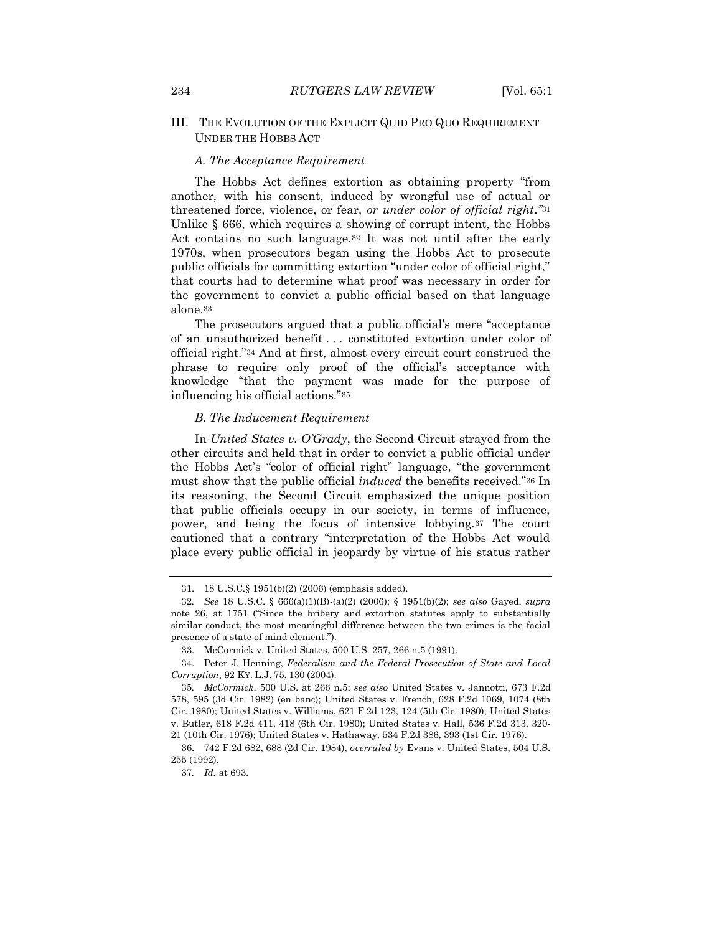## III. THE EVOLUTION OF THE EXPLICIT QUID PRO QUO REQUIREMENT UNDER THE HOBBS ACT

#### *A. The Acceptance Requirement*

The Hobbs Act defines extortion as obtaining property "from another, with his consent, induced by wrongful use of actual or threatened force, violence, or fear, *or under color of official right*.*"*<sup>31</sup> Unlike § 666, which requires a showing of corrupt intent, the Hobbs Act contains no such language.<sup>32</sup> It was not until after the early 1970s, when prosecutors began using the Hobbs Act to prosecute public officials for committing extortion "under color of official right," that courts had to determine what proof was necessary in order for the government to convict a public official based on that language alone.<sup>33</sup>

The prosecutors argued that a public official's mere "acceptance of an unauthorized benefit . . . constituted extortion under color of official right."<sup>34</sup> And at first, almost every circuit court construed the phrase to require only proof of the official's acceptance with knowledge "that the payment was made for the purpose of influencing his official actions."<sup>35</sup>

#### *B. The Inducement Requirement*

In *United States v. O'Grady*, the Second Circuit strayed from the other circuits and held that in order to convict a public official under the Hobbs Act's "color of official right" language, "the government must show that the public official *induced* the benefits received."<sup>36</sup> In its reasoning, the Second Circuit emphasized the unique position that public officials occupy in our society, in terms of influence, power, and being the focus of intensive lobbying.<sup>37</sup> The court cautioned that a contrary "interpretation of the Hobbs Act would place every public official in jeopardy by virtue of his status rather

<sup>31.</sup> 18 U.S.C.§ 1951(b)(2) (2006) (emphasis added).

<sup>32</sup>*. See* 18 U.S.C. § 666(a)(1)(B)-(a)(2) (2006); § 1951(b)(2); *see also* Gayed, *supra* note 26, at 1751 ("Since the bribery and extortion statutes apply to substantially similar conduct, the most meaningful difference between the two crimes is the facial presence of a state of mind element.").

<sup>33.</sup> McCormick v. United States, 500 U.S. 257, 266 n.5 (1991).

<sup>34.</sup> Peter J. Henning, *Federalism and the Federal Prosecution of State and Local Corruption*, 92 KY. L.J. 75, 130 (2004).

<sup>35</sup>*. McCormick*, 500 U.S. at 266 n.5; *see also* United States v. Jannotti, 673 F.2d 578, 595 (3d Cir. 1982) (en banc); United States v. French, 628 F.2d 1069, 1074 (8th Cir. 1980); United States v. Williams, 621 F.2d 123, 124 (5th Cir. 1980); United States v. Butler, 618 F.2d 411, 418 (6th Cir. 1980); United States v. Hall, 536 F.2d 313, 320- 21 (10th Cir. 1976); United States v. Hathaway, 534 F.2d 386, 393 (1st Cir. 1976).

<sup>36.</sup> 742 F.2d 682, 688 (2d Cir. 1984), *overruled by* Evans v. United States, 504 U.S. 255 (1992).

<sup>37</sup>*. Id.* at 693.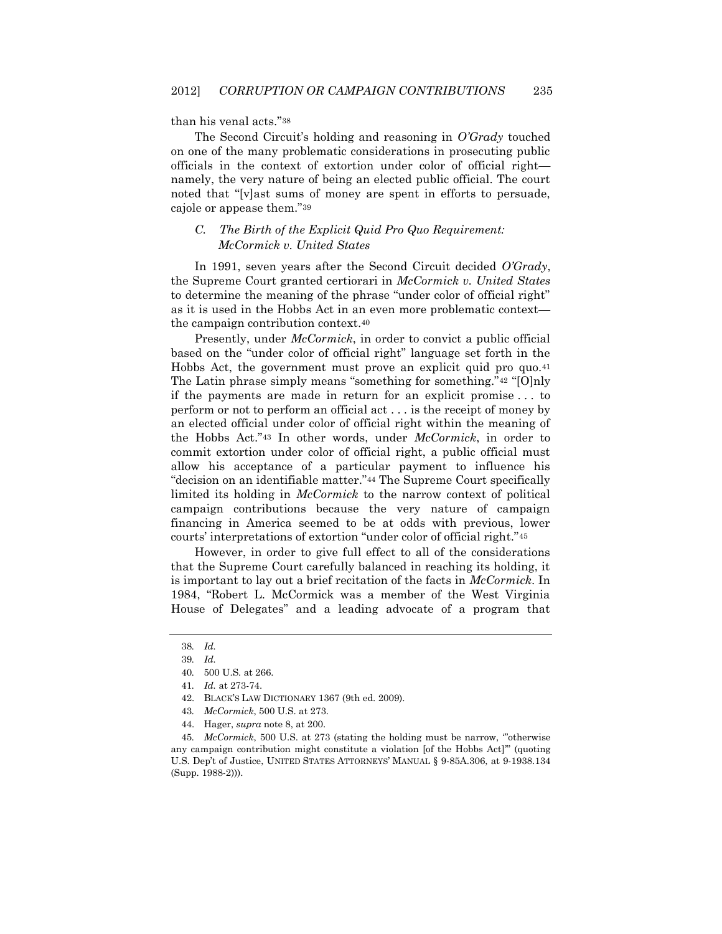#### than his venal acts."<sup>38</sup>

The Second Circuit's holding and reasoning in *O'Grady* touched on one of the many problematic considerations in prosecuting public officials in the context of extortion under color of official right namely, the very nature of being an elected public official. The court noted that "[v]ast sums of money are spent in efforts to persuade, cajole or appease them."<sup>39</sup>

## *C. The Birth of the Explicit Quid Pro Quo Requirement: McCormick v. United States*

In 1991, seven years after the Second Circuit decided *O'Grady*, the Supreme Court granted certiorari in *McCormick v. United States* to determine the meaning of the phrase "under color of official right" as it is used in the Hobbs Act in an even more problematic context the campaign contribution context.<sup>40</sup>

Presently, under *McCormick*, in order to convict a public official based on the "under color of official right" language set forth in the Hobbs Act, the government must prove an explicit quid pro quo.<sup>41</sup> The Latin phrase simply means "something for something."<sup>42</sup> "[O]nly if the payments are made in return for an explicit promise . . . to perform or not to perform an official act . . . is the receipt of money by an elected official under color of official right within the meaning of the Hobbs Act."<sup>43</sup> In other words, under *McCormick*, in order to commit extortion under color of official right, a public official must allow his acceptance of a particular payment to influence his "decision on an identifiable matter."<sup>44</sup> The Supreme Court specifically limited its holding in *McCormick* to the narrow context of political campaign contributions because the very nature of campaign financing in America seemed to be at odds with previous, lower courts' interpretations of extortion "under color of official right."<sup>45</sup>

However, in order to give full effect to all of the considerations that the Supreme Court carefully balanced in reaching its holding, it is important to lay out a brief recitation of the facts in *McCormick*. In 1984, "Robert L. McCormick was a member of the West Virginia House of Delegates" and a leading advocate of a program that

<sup>38</sup>*. Id.*

<sup>39</sup>*. Id.* 

<sup>40</sup>*.* 500 U.S. at 266.

<sup>41</sup>*. Id.* at 273-74.

<sup>42.</sup> BLACK'S LAW DICTIONARY 1367 (9th ed. 2009).

<sup>43</sup>*. McCormick*, 500 U.S. at 273.

<sup>44.</sup> Hager, *supra* note 8, at 200.

<sup>45</sup>*. McCormick*, 500 U.S. at 273 (stating the holding must be narrow, '"otherwise any campaign contribution might constitute a violation [of the Hobbs Act]'" (quoting U.S. Dep't of Justice, UNITED STATES ATTORNEYS' MANUAL § 9-85A.306, at 9-1938.134 (Supp. 1988-2))).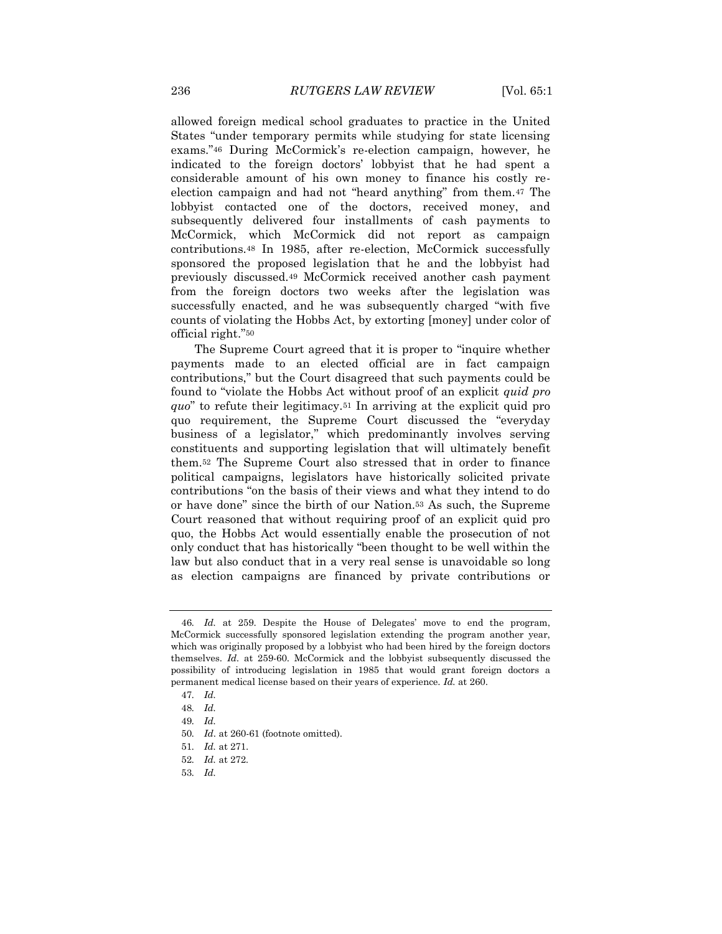allowed foreign medical school graduates to practice in the United States "under temporary permits while studying for state licensing exams."<sup>46</sup> During McCormick's re-election campaign, however, he indicated to the foreign doctors' lobbyist that he had spent a considerable amount of his own money to finance his costly reelection campaign and had not "heard anything" from them.<sup>47</sup> The lobbyist contacted one of the doctors, received money, and subsequently delivered four installments of cash payments to McCormick, which McCormick did not report as campaign contributions.<sup>48</sup> In 1985, after re-election, McCormick successfully sponsored the proposed legislation that he and the lobbyist had previously discussed.<sup>49</sup> McCormick received another cash payment from the foreign doctors two weeks after the legislation was successfully enacted, and he was subsequently charged "with five counts of violating the Hobbs Act, by extorting [money] under color of official right."<sup>50</sup>

The Supreme Court agreed that it is proper to "inquire whether payments made to an elected official are in fact campaign contributions," but the Court disagreed that such payments could be found to "violate the Hobbs Act without proof of an explicit *quid pro quo*" to refute their legitimacy.<sup>51</sup> In arriving at the explicit quid pro quo requirement, the Supreme Court discussed the "everyday business of a legislator," which predominantly involves serving constituents and supporting legislation that will ultimately benefit them.<sup>52</sup> The Supreme Court also stressed that in order to finance political campaigns, legislators have historically solicited private contributions "on the basis of their views and what they intend to do or have done" since the birth of our Nation.<sup>53</sup> As such, the Supreme Court reasoned that without requiring proof of an explicit quid pro quo, the Hobbs Act would essentially enable the prosecution of not only conduct that has historically "been thought to be well within the law but also conduct that in a very real sense is unavoidable so long as election campaigns are financed by private contributions or

<sup>46</sup>*. Id.* at 259. Despite the House of Delegates' move to end the program, McCormick successfully sponsored legislation extending the program another year, which was originally proposed by a lobbyist who had been hired by the foreign doctors themselves. *Id.* at 259-60. McCormick and the lobbyist subsequently discussed the possibility of introducing legislation in 1985 that would grant foreign doctors a permanent medical license based on their years of experience. *Id.* at 260.

<sup>47</sup>*. Id.*

<sup>48</sup>*. Id.*

<sup>49</sup>*. Id.*

<sup>50</sup>*. Id*. at 260-61 (footnote omitted).

<sup>51</sup>*. Id.* at 271.

<sup>52</sup>*. Id.* at 272*.*

<sup>53</sup>*. Id.*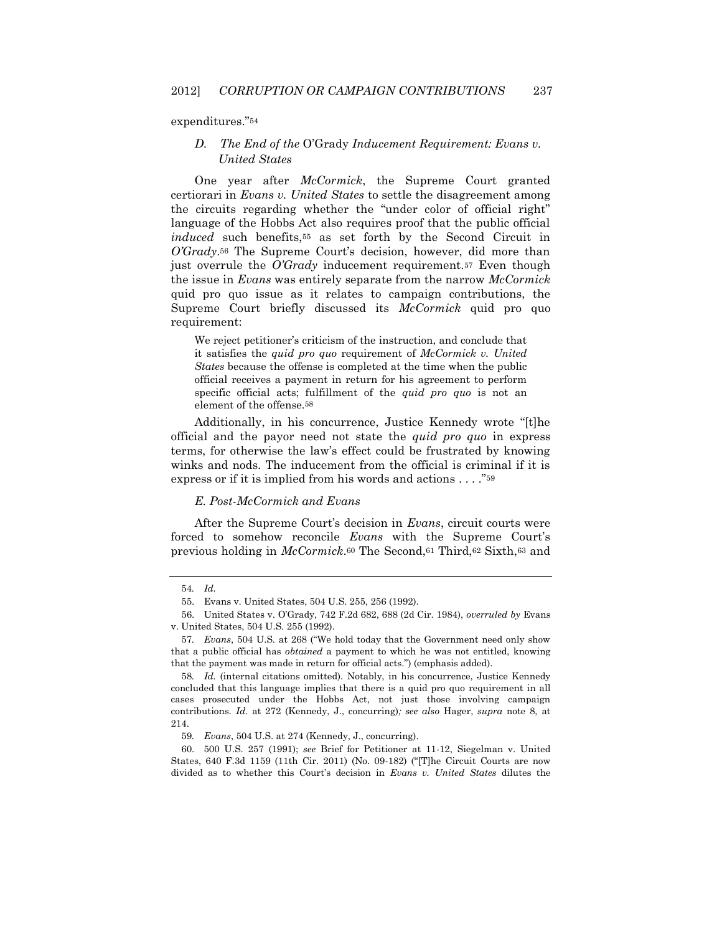expenditures."<sup>54</sup>

## *D. The End of the* O'Grady *Inducement Requirement: Evans v. United States*

One year after *McCormick*, the Supreme Court granted certiorari in *Evans v. United States* to settle the disagreement among the circuits regarding whether the "under color of official right" language of the Hobbs Act also requires proof that the public official *induced* such benefits,<sup>55</sup> as set forth by the Second Circuit in *O'Grady*.<sup>56</sup> The Supreme Court's decision, however, did more than just overrule the *O'Grady* inducement requirement.<sup>57</sup> Even though the issue in *Evans* was entirely separate from the narrow *McCormick* quid pro quo issue as it relates to campaign contributions, the Supreme Court briefly discussed its *McCormick* quid pro quo requirement:

We reject petitioner's criticism of the instruction, and conclude that it satisfies the *quid pro quo* requirement of *McCormick v. United States* because the offense is completed at the time when the public official receives a payment in return for his agreement to perform specific official acts; fulfillment of the *quid pro quo* is not an element of the offense.58

Additionally, in his concurrence, Justice Kennedy wrote "[t]he official and the payor need not state the *quid pro quo* in express terms, for otherwise the law's effect could be frustrated by knowing winks and nods. The inducement from the official is criminal if it is express or if it is implied from his words and actions . . . ."<sup>59</sup>

#### *E. Post-McCormick and Evans*

After the Supreme Court's decision in *Evans*, circuit courts were forced to somehow reconcile *Evans* with the Supreme Court's previous holding in *McCormick*.<sup>60</sup> The Second,<sup>61</sup> Third,<sup>62</sup> Sixth,<sup>63</sup> and

<sup>54</sup>*. Id.*

<sup>55.</sup> Evans v. United States, 504 U.S. 255, 256 (1992).

<sup>56.</sup> United States v. O'Grady, 742 F.2d 682, 688 (2d Cir. 1984), *overruled by* Evans v. United States, 504 U.S. 255 (1992).

<sup>57</sup>*. Evans*, 504 U.S. at 268 ("We hold today that the Government need only show that a public official has *obtained* a payment to which he was not entitled, knowing that the payment was made in return for official acts.") (emphasis added).

<sup>58</sup>*. Id.* (internal citations omitted). Notably, in his concurrence, Justice Kennedy concluded that this language implies that there is a quid pro quo requirement in all cases prosecuted under the Hobbs Act, not just those involving campaign contributions. *Id.* at 272 (Kennedy, J., concurring)*; see also* Hager, *supra* note 8, at 214.

<sup>59</sup>*. Evans*, 504 U.S. at 274 (Kennedy, J., concurring).

<sup>60.</sup> 500 U.S. 257 (1991); *see* Brief for Petitioner at 11-12, Siegelman v. United States, 640 F.3d 1159 (11th Cir. 2011) (No. 09-182) ("[T]he Circuit Courts are now divided as to whether this Court's decision in *Evans v. United States* dilutes the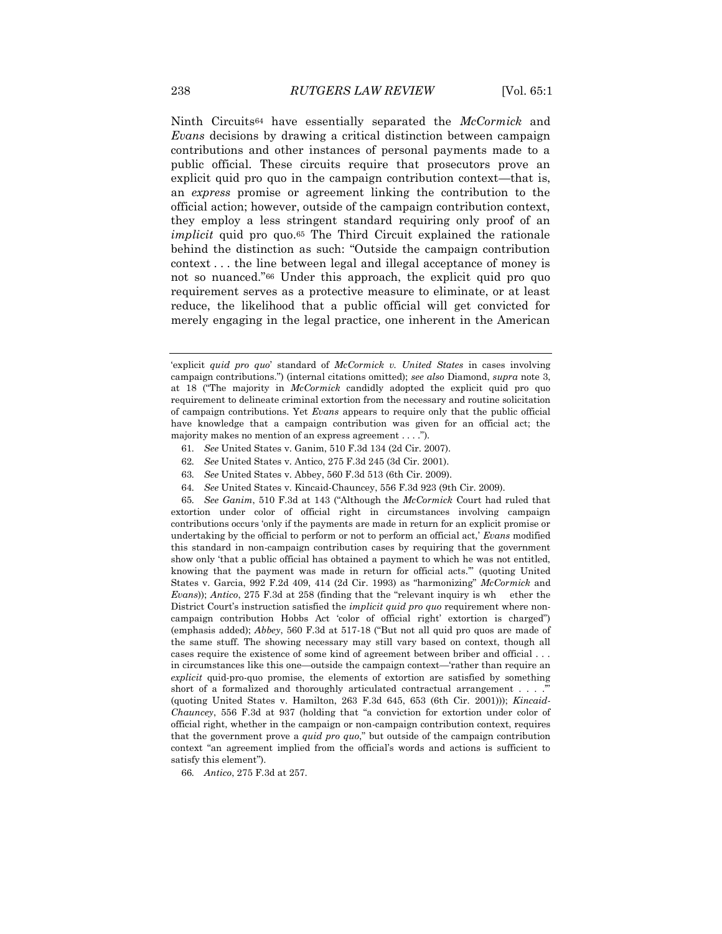Ninth Circuits<sup>64</sup> have essentially separated the *McCormick* and *Evans* decisions by drawing a critical distinction between campaign contributions and other instances of personal payments made to a public official. These circuits require that prosecutors prove an explicit quid pro quo in the campaign contribution context—that is, an *express* promise or agreement linking the contribution to the official action; however, outside of the campaign contribution context, they employ a less stringent standard requiring only proof of an *implicit* quid pro quo.<sup>65</sup> The Third Circuit explained the rationale behind the distinction as such: "Outside the campaign contribution context . . . the line between legal and illegal acceptance of money is not so nuanced."<sup>66</sup> Under this approach, the explicit quid pro quo requirement serves as a protective measure to eliminate, or at least reduce, the likelihood that a public official will get convicted for merely engaging in the legal practice, one inherent in the American

- 61*. See* United States v. Ganim, 510 F.3d 134 (2d Cir. 2007).
- 62*. See* United States v. Antico, 275 F.3d 245 (3d Cir. 2001).
- 63*. See* United States v. Abbey, 560 F.3d 513 (6th Cir. 2009).
- 64*. See* United States v. Kincaid-Chauncey, 556 F.3d 923 (9th Cir. 2009).

65*. See Ganim*, 510 F.3d at 143 ("Although the *McCormick* Court had ruled that extortion under color of official right in circumstances involving campaign contributions occurs 'only if the payments are made in return for an explicit promise or undertaking by the official to perform or not to perform an official act,' *Evans* modified this standard in non-campaign contribution cases by requiring that the government show only 'that a public official has obtained a payment to which he was not entitled, knowing that the payment was made in return for official acts.'" (quoting United States v. Garcia, 992 F.2d 409, 414 (2d Cir. 1993) as "harmonizing" *McCormick* and *Evans*)); *Antico*, 275 F.3d at 258 (finding that the "relevant inquiry is wh ether the District Court's instruction satisfied the *implicit quid pro quo* requirement where noncampaign contribution Hobbs Act 'color of official right' extortion is charged") (emphasis added); *Abbey*, 560 F.3d at 517-18 ("But not all quid pro quos are made of the same stuff. The showing necessary may still vary based on context, though all cases require the existence of some kind of agreement between briber and official . . . in circumstances like this one—outside the campaign context—'rather than require an *explicit* quid-pro-quo promise, the elements of extortion are satisfied by something short of a formalized and thoroughly articulated contractual arrangement . . . .' (quoting United States v. Hamilton, 263 F.3d 645, 653 (6th Cir. 2001))); *Kincaid-Chauncey*, 556 F.3d at 937 (holding that "a conviction for extortion under color of official right, whether in the campaign or non-campaign contribution context, requires that the government prove a *quid pro quo*," but outside of the campaign contribution context "an agreement implied from the official's words and actions is sufficient to satisfy this element").

<sup>&#</sup>x27;explicit *quid pro quo*' standard of *McCormick v. United States* in cases involving campaign contributions.") (internal citations omitted); *see also* Diamond, *supra* note 3, at 18 ("The majority in *McCormick* candidly adopted the explicit quid pro quo requirement to delineate criminal extortion from the necessary and routine solicitation of campaign contributions. Yet *Evans* appears to require only that the public official have knowledge that a campaign contribution was given for an official act; the majority makes no mention of an express agreement . . . .").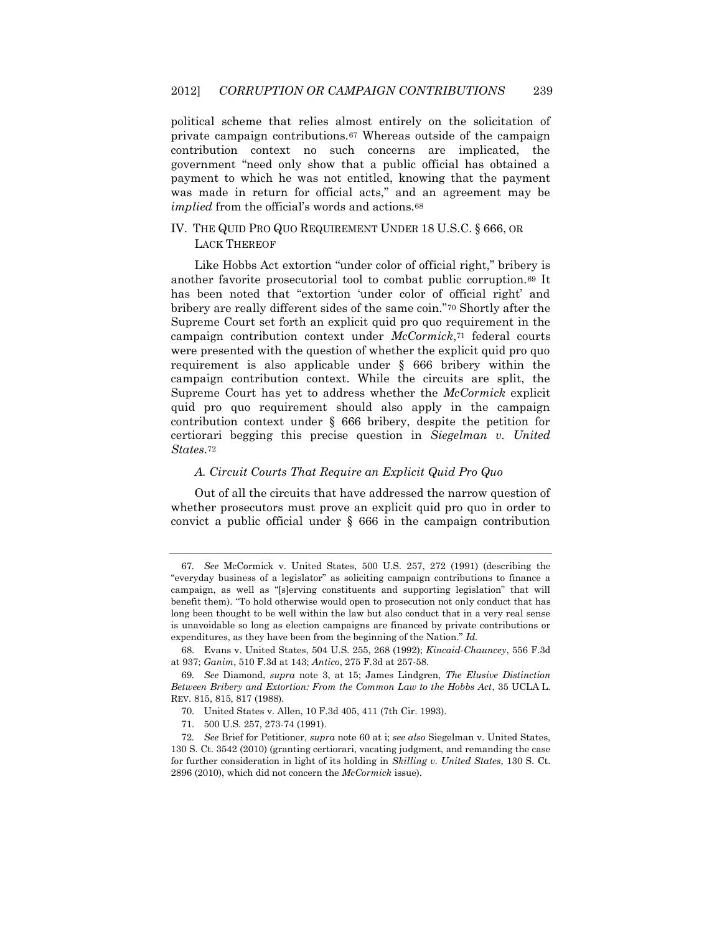political scheme that relies almost entirely on the solicitation of private campaign contributions.<sup>67</sup> Whereas outside of the campaign contribution context no such concerns are implicated, the government "need only show that a public official has obtained a payment to which he was not entitled, knowing that the payment was made in return for official acts," and an agreement may be implied from the official's words and actions.<sup>68</sup>

## IV. THE QUID PRO QUO REQUIREMENT UNDER 18 U.S.C. § 666, OR LACK THEREOF

Like Hobbs Act extortion "under color of official right," bribery is another favorite prosecutorial tool to combat public corruption.<sup>69</sup> It has been noted that "extortion 'under color of official right' and bribery are really different sides of the same coin."<sup>70</sup> Shortly after the Supreme Court set forth an explicit quid pro quo requirement in the campaign contribution context under *McCormick*,<sup>71</sup> federal courts were presented with the question of whether the explicit quid pro quo requirement is also applicable under § 666 bribery within the campaign contribution context. While the circuits are split, the Supreme Court has yet to address whether the *McCormick* explicit quid pro quo requirement should also apply in the campaign contribution context under § 666 bribery, despite the petition for certiorari begging this precise question in *Siegelman v. United States*.<sup>72</sup>

#### *A. Circuit Courts That Require an Explicit Quid Pro Quo*

Out of all the circuits that have addressed the narrow question of whether prosecutors must prove an explicit quid pro quo in order to convict a public official under § 666 in the campaign contribution

<sup>67</sup>*. See* McCormick v. United States, 500 U.S. 257, 272 (1991) (describing the "everyday business of a legislator" as soliciting campaign contributions to finance a campaign, as well as "[s]erving constituents and supporting legislation" that will benefit them). "To hold otherwise would open to prosecution not only conduct that has long been thought to be well within the law but also conduct that in a very real sense is unavoidable so long as election campaigns are financed by private contributions or expenditures, as they have been from the beginning of the Nation." *Id.* 

<sup>68.</sup> Evans v. United States, 504 U.S. 255, 268 (1992); *Kincaid-Chauncey*, 556 F.3d at 937; *Ganim*, 510 F.3d at 143; *Antico*, 275 F.3d at 257-58.

<sup>69</sup>*. See* Diamond, *supra* note 3, at 15; James Lindgren, *The Elusive Distinction Between Bribery and Extortion: From the Common Law to the Hobbs Act*, 35 UCLA L. REV. 815, 815, 817 (1988).

<sup>70.</sup> United States v. Allen, 10 F.3d 405, 411 (7th Cir. 1993).

<sup>71.</sup> 500 U.S. 257, 273-74 (1991).

<sup>72</sup>*. See* Brief for Petitioner, *supra* note 60 at i; *see also* Siegelman v. United States, 130 S. Ct. 3542 (2010) (granting certiorari, vacating judgment, and remanding the case for further consideration in light of its holding in *Skilling v. United States*, 130 S. Ct. 2896 (2010), which did not concern the *McCormick* issue).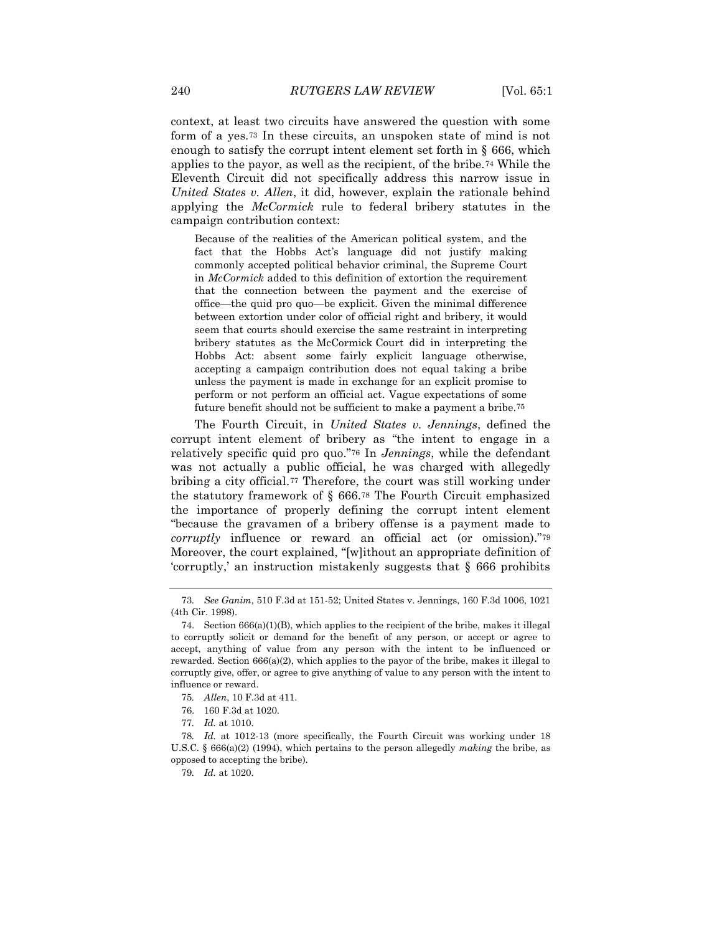context, at least two circuits have answered the question with some form of a yes.<sup>73</sup> In these circuits, an unspoken state of mind is not enough to satisfy the corrupt intent element set forth in § 666, which applies to the payor, as well as the recipient, of the bribe.<sup>74</sup> While the Eleventh Circuit did not specifically address this narrow issue in *United States v. Allen*, it did, however, explain the rationale behind applying the *McCormick* rule to federal bribery statutes in the campaign contribution context:

Because of the realities of the American political system, and the fact that the Hobbs Act's language did not justify making commonly accepted political behavior criminal, the Supreme Court in *McCormick* added to this definition of extortion the requirement that the connection between the payment and the exercise of office—the quid pro quo—be explicit. Given the minimal difference between extortion under color of official right and bribery, it would seem that courts should exercise the same restraint in interpreting bribery statutes as the McCormick Court did in interpreting the Hobbs Act: absent some fairly explicit language otherwise, accepting a campaign contribution does not equal taking a bribe unless the payment is made in exchange for an explicit promise to perform or not perform an official act. Vague expectations of some future benefit should not be sufficient to make a payment a bribe.75

The Fourth Circuit, in *United States v. Jennings*, defined the corrupt intent element of bribery as "the intent to engage in a relatively specific quid pro quo."<sup>76</sup> In *Jennings*, while the defendant was not actually a public official, he was charged with allegedly bribing a city official.<sup>77</sup> Therefore, the court was still working under the statutory framework of § 666.<sup>78</sup> The Fourth Circuit emphasized the importance of properly defining the corrupt intent element "because the gravamen of a bribery offense is a payment made to *corruptly* influence or reward an official act (or omission)."<sup>79</sup> Moreover, the court explained, "[w]ithout an appropriate definition of 'corruptly,' an instruction mistakenly suggests that § 666 prohibits

<sup>73</sup>*. See Ganim*, 510 F.3d at 151-52; United States v. Jennings, 160 F.3d 1006, 1021 (4th Cir. 1998).

<sup>74.</sup> Section  $666(a)(1)(B)$ , which applies to the recipient of the bribe, makes it illegal to corruptly solicit or demand for the benefit of any person, or accept or agree to accept, anything of value from any person with the intent to be influenced or rewarded. Section 666(a)(2), which applies to the payor of the bribe, makes it illegal to corruptly give, offer, or agree to give anything of value to any person with the intent to influence or reward.

<sup>75</sup>*. Allen*, 10 F.3d at 411.

<sup>76.</sup> 160 F.3d at 1020.

<sup>77</sup>*. Id.* at 1010.

<sup>78</sup>*. Id.* at 1012-13 (more specifically, the Fourth Circuit was working under 18 U.S.C. § 666(a)(2) (1994), which pertains to the person allegedly *making* the bribe, as opposed to accepting the bribe).

<sup>79</sup>*. Id.* at 1020.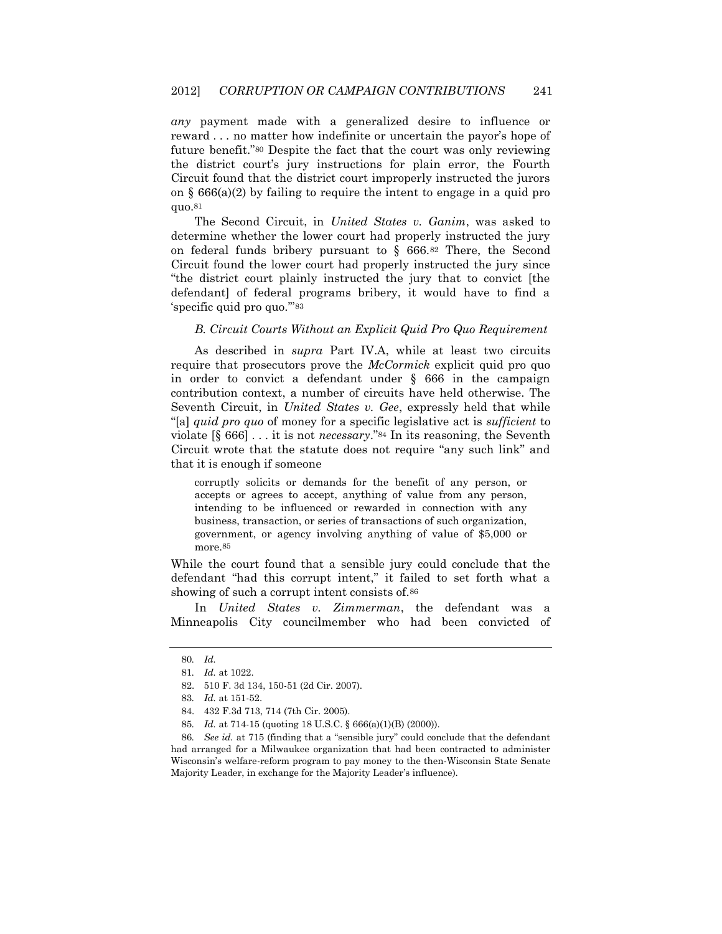*any* payment made with a generalized desire to influence or reward . . . no matter how indefinite or uncertain the payor's hope of future benefit."<sup>80</sup> Despite the fact that the court was only reviewing the district court's jury instructions for plain error, the Fourth Circuit found that the district court improperly instructed the jurors on § 666(a)(2) by failing to require the intent to engage in a quid pro quo.<sup>81</sup>

The Second Circuit, in *United States v. Ganim*, was asked to determine whether the lower court had properly instructed the jury on federal funds bribery pursuant to § 666.<sup>82</sup> There, the Second Circuit found the lower court had properly instructed the jury since "the district court plainly instructed the jury that to convict [the defendant] of federal programs bribery, it would have to find a 'specific quid pro quo.'"<sup>83</sup>

## *B. Circuit Courts Without an Explicit Quid Pro Quo Requirement*

As described in *supra* Part IV.A, while at least two circuits require that prosecutors prove the *McCormick* explicit quid pro quo in order to convict a defendant under § 666 in the campaign contribution context, a number of circuits have held otherwise. The Seventh Circuit, in *United States v. Gee*, expressly held that while "[a] *quid pro quo* of money for a specific legislative act is *sufficient* to violate [§ 666] . . . it is not *necessary*."<sup>84</sup> In its reasoning, the Seventh Circuit wrote that the statute does not require "any such link" and that it is enough if someone

corruptly solicits or demands for the benefit of any person, or accepts or agrees to accept, anything of value from any person, intending to be influenced or rewarded in connection with any business, transaction, or series of transactions of such organization, government, or agency involving anything of value of \$5,000 or more.<sup>85</sup>

While the court found that a sensible jury could conclude that the defendant "had this corrupt intent," it failed to set forth what a showing of such a corrupt intent consists of.<sup>86</sup>

In *United States v. Zimmerman*, the defendant was a Minneapolis City councilmember who had been convicted of

<sup>80</sup>*. Id.*

<sup>81</sup>*. Id.* at 1022.

<sup>82.</sup> 510 F. 3d 134, 150-51 (2d Cir. 2007).

<sup>83</sup>*. Id.* at 151-52.

<sup>84.</sup> 432 F.3d 713, 714 (7th Cir. 2005).

<sup>85</sup>*. Id.* at 714-15 (quoting 18 U.S.C. § 666(a)(1)(B) (2000)).

<sup>86</sup>*. See id.* at 715 (finding that a "sensible jury" could conclude that the defendant had arranged for a Milwaukee organization that had been contracted to administer Wisconsin's welfare-reform program to pay money to the then-Wisconsin State Senate Majority Leader, in exchange for the Majority Leader's influence).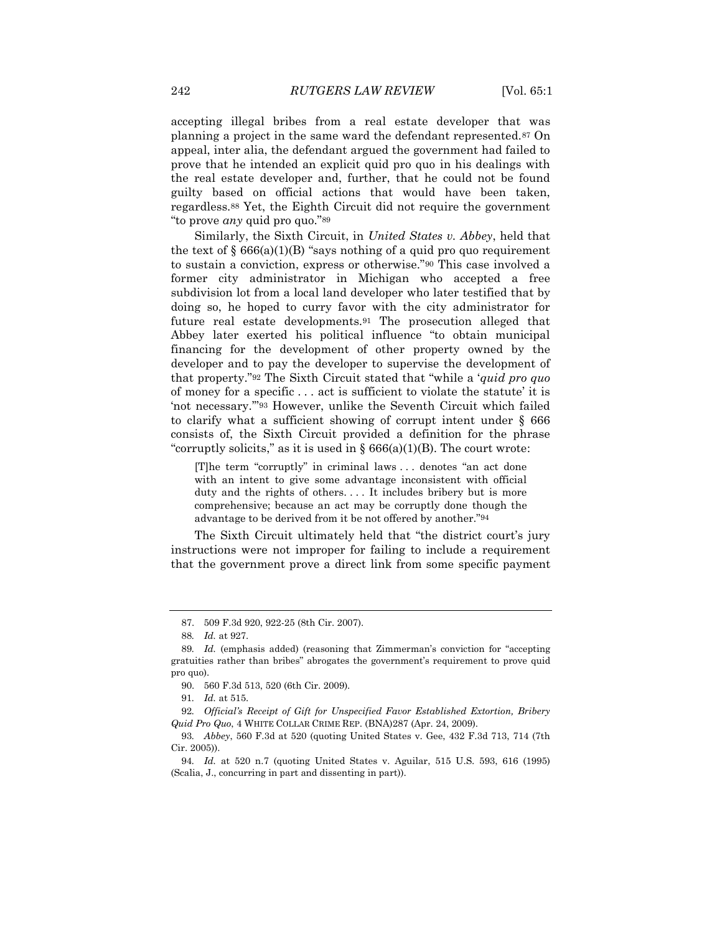accepting illegal bribes from a real estate developer that was planning a project in the same ward the defendant represented.<sup>87</sup> On appeal, inter alia, the defendant argued the government had failed to prove that he intended an explicit quid pro quo in his dealings with the real estate developer and, further, that he could not be found guilty based on official actions that would have been taken, regardless.<sup>88</sup> Yet, the Eighth Circuit did not require the government "to prove *any* quid pro quo."<sup>89</sup>

Similarly, the Sixth Circuit, in *United States v. Abbey*, held that the text of  $\S 666(a)(1)(B)$  says nothing of a quid pro quo requirement to sustain a conviction, express or otherwise."<sup>90</sup> This case involved a former city administrator in Michigan who accepted a free subdivision lot from a local land developer who later testified that by doing so, he hoped to curry favor with the city administrator for future real estate developments.<sup>91</sup> The prosecution alleged that Abbey later exerted his political influence "to obtain municipal financing for the development of other property owned by the developer and to pay the developer to supervise the development of that property."<sup>92</sup> The Sixth Circuit stated that "while a '*quid pro quo*  of money for a specific . . . act is sufficient to violate the statute' it is 'not necessary.'"<sup>93</sup> However, unlike the Seventh Circuit which failed to clarify what a sufficient showing of corrupt intent under § 666 consists of, the Sixth Circuit provided a definition for the phrase "corruptly solicits," as it is used in  $\S 666(a)(1)(B)$ . The court wrote:

[T]he term "corruptly" in criminal laws . . . denotes "an act done with an intent to give some advantage inconsistent with official duty and the rights of others. . . . It includes bribery but is more comprehensive; because an act may be corruptly done though the advantage to be derived from it be not offered by another."94

The Sixth Circuit ultimately held that "the district court's jury instructions were not improper for failing to include a requirement that the government prove a direct link from some specific payment

<sup>87.</sup> 509 F.3d 920, 922-25 (8th Cir. 2007).

<sup>88</sup>*. Id.* at 927.

<sup>89</sup>*. Id.* (emphasis added) (reasoning that Zimmerman's conviction for "accepting gratuities rather than bribes" abrogates the government's requirement to prove quid pro quo).

<sup>90.</sup> 560 F.3d 513, 520 (6th Cir. 2009).

<sup>91</sup>*. Id.* at 515.

<sup>92</sup>*. Official's Receipt of Gift for Unspecified Favor Established Extortion, Bribery Quid Pro Quo*, 4 WHITE COLLAR CRIME REP. (BNA)287 (Apr. 24, 2009).

<sup>93</sup>*. Abbey*, 560 F.3d at 520 (quoting United States v. Gee, 432 F.3d 713, 714 (7th Cir. 2005)).

<sup>94</sup>*. Id.* at 520 n.7 (quoting United States v. Aguilar, 515 U.S. 593, 616 (1995) (Scalia, J., concurring in part and dissenting in part)).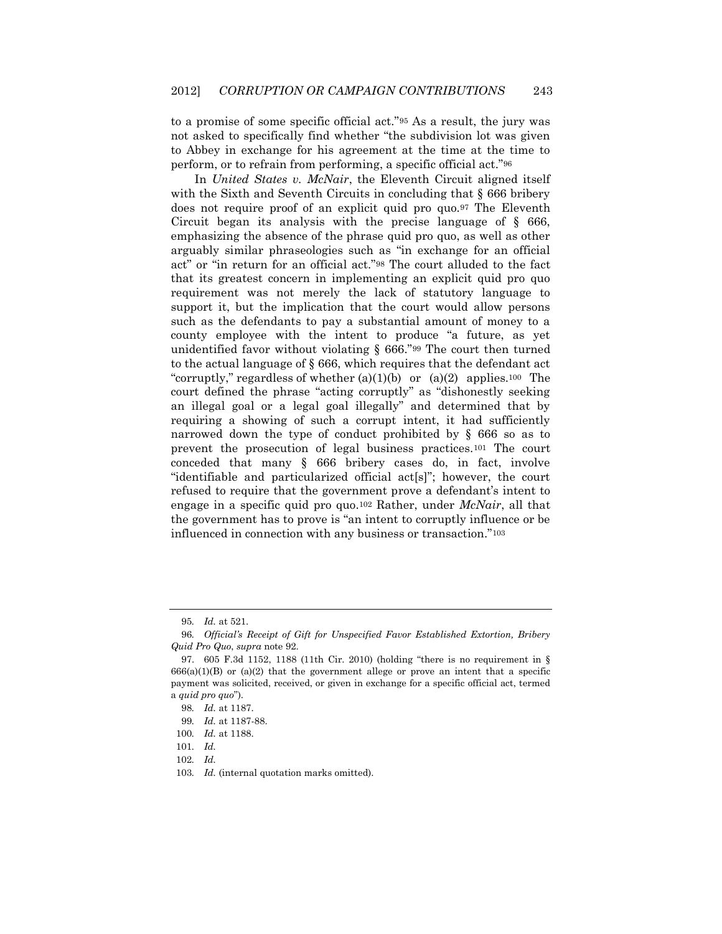to a promise of some specific official act."<sup>95</sup> As a result, the jury was not asked to specifically find whether "the subdivision lot was given to Abbey in exchange for his agreement at the time at the time to perform, or to refrain from performing, a specific official act."<sup>96</sup>

In *United States v. McNair*, the Eleventh Circuit aligned itself with the Sixth and Seventh Circuits in concluding that § 666 bribery does not require proof of an explicit quid pro quo.<sup>97</sup> The Eleventh Circuit began its analysis with the precise language of § 666, emphasizing the absence of the phrase quid pro quo, as well as other arguably similar phraseologies such as "in exchange for an official act" or "in return for an official act."<sup>98</sup> The court alluded to the fact that its greatest concern in implementing an explicit quid pro quo requirement was not merely the lack of statutory language to support it, but the implication that the court would allow persons such as the defendants to pay a substantial amount of money to a county employee with the intent to produce "a future, as yet unidentified favor without violating § 666."<sup>99</sup> The court then turned to the actual language of § 666, which requires that the defendant act "corruptly," regardless of whether  $(a)(1)(b)$  or  $(a)(2)$  applies.<sup>100</sup> The court defined the phrase "acting corruptly" as "dishonestly seeking an illegal goal or a legal goal illegally" and determined that by requiring a showing of such a corrupt intent, it had sufficiently narrowed down the type of conduct prohibited by § 666 so as to prevent the prosecution of legal business practices.<sup>101</sup> The court conceded that many § 666 bribery cases do, in fact, involve "identifiable and particularized official act[s]"; however, the court refused to require that the government prove a defendant's intent to engage in a specific quid pro quo.<sup>102</sup> Rather, under *McNair*, all that the government has to prove is "an intent to corruptly influence or be influenced in connection with any business or transaction."<sup>103</sup>

<sup>95</sup>*. Id.* at 521.

<sup>96</sup>*. Official's Receipt of Gift for Unspecified Favor Established Extortion, Bribery Quid Pro Quo*, *supra* note 92.

<sup>97.</sup> 605 F.3d 1152, 1188 (11th Cir. 2010) (holding "there is no requirement in §  $666(a)(1)(B)$  or  $(a)(2)$  that the government allege or prove an intent that a specific payment was solicited, received, or given in exchange for a specific official act, termed a *quid pro quo*").

<sup>98</sup>*. Id.* at 1187.

<sup>99</sup>*. Id.* at 1187-88.

<sup>100</sup>*. Id.* at 1188.

<sup>101</sup>*. Id.*

<sup>102</sup>*. Id.*

<sup>103</sup>*. Id.* (internal quotation marks omitted).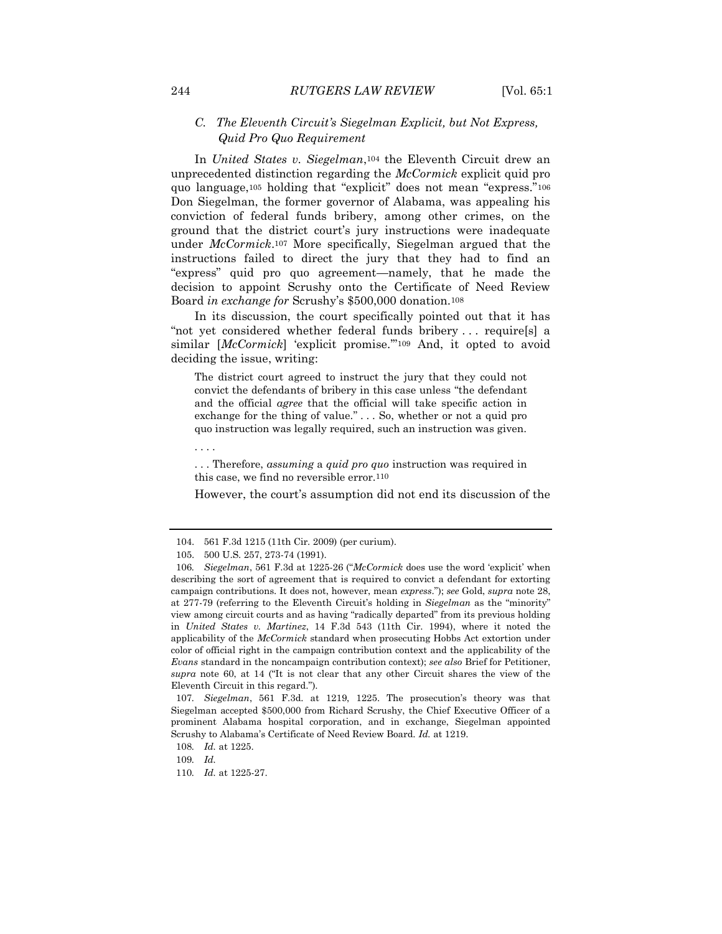## *C. The Eleventh Circuit's Siegelman Explicit, but Not Express, Quid Pro Quo Requirement*

In *United States v. Siegelman*,<sup>104</sup> the Eleventh Circuit drew an unprecedented distinction regarding the *McCormick* explicit quid pro quo language,<sup>105</sup> holding that "explicit" does not mean "express."<sup>106</sup> Don Siegelman, the former governor of Alabama, was appealing his conviction of federal funds bribery, among other crimes, on the ground that the district court's jury instructions were inadequate under *McCormick*.<sup>107</sup> More specifically, Siegelman argued that the instructions failed to direct the jury that they had to find an "express" quid pro quo agreement—namely, that he made the decision to appoint Scrushy onto the Certificate of Need Review Board *in exchange for* Scrushy's \$500,000 donation.<sup>108</sup>

In its discussion, the court specifically pointed out that it has "not yet considered whether federal funds bribery . . . require[s] a similar [*McCormick*] 'explicit promise.'"<sup>109</sup> And, it opted to avoid deciding the issue, writing:

The district court agreed to instruct the jury that they could not convict the defendants of bribery in this case unless "the defendant and the official *agree* that the official will take specific action in exchange for the thing of value." . . . So, whether or not a quid pro quo instruction was legally required, such an instruction was given.

. . . .

. . . Therefore, *assuming* a *quid pro quo* instruction was required in this case, we find no reversible error.110

However, the court's assumption did not end its discussion of the

<sup>104.</sup> 561 F.3d 1215 (11th Cir. 2009) (per curium).

<sup>105.</sup> 500 U.S. 257, 273-74 (1991).

<sup>106</sup>*. Siegelman*, 561 F.3d at 1225-26 ("*McCormick* does use the word 'explicit' when describing the sort of agreement that is required to convict a defendant for extorting campaign contributions. It does not, however, mean *express*."); *see* Gold, *supra* note 28, at 277-79 (referring to the Eleventh Circuit's holding in *Siegelman* as the "minority" view among circuit courts and as having "radically departed" from its previous holding in *United States v. Martinez*, 14 F.3d 543 (11th Cir. 1994), where it noted the applicability of the *McCormick* standard when prosecuting Hobbs Act extortion under color of official right in the campaign contribution context and the applicability of the *Evans* standard in the noncampaign contribution context); *see also* Brief for Petitioner, *supra* note 60, at 14 ("It is not clear that any other Circuit shares the view of the Eleventh Circuit in this regard.").

<sup>107</sup>*. Siegelman*, 561 F.3d. at 1219, 1225. The prosecution's theory was that Siegelman accepted \$500,000 from Richard Scrushy, the Chief Executive Officer of a prominent Alabama hospital corporation, and in exchange, Siegelman appointed Scrushy to Alabama's Certificate of Need Review Board. *Id.* at 1219.

<sup>108</sup>*. Id.* at 1225.

<sup>109</sup>*. Id.*

<sup>110</sup>*. Id.* at 1225-27.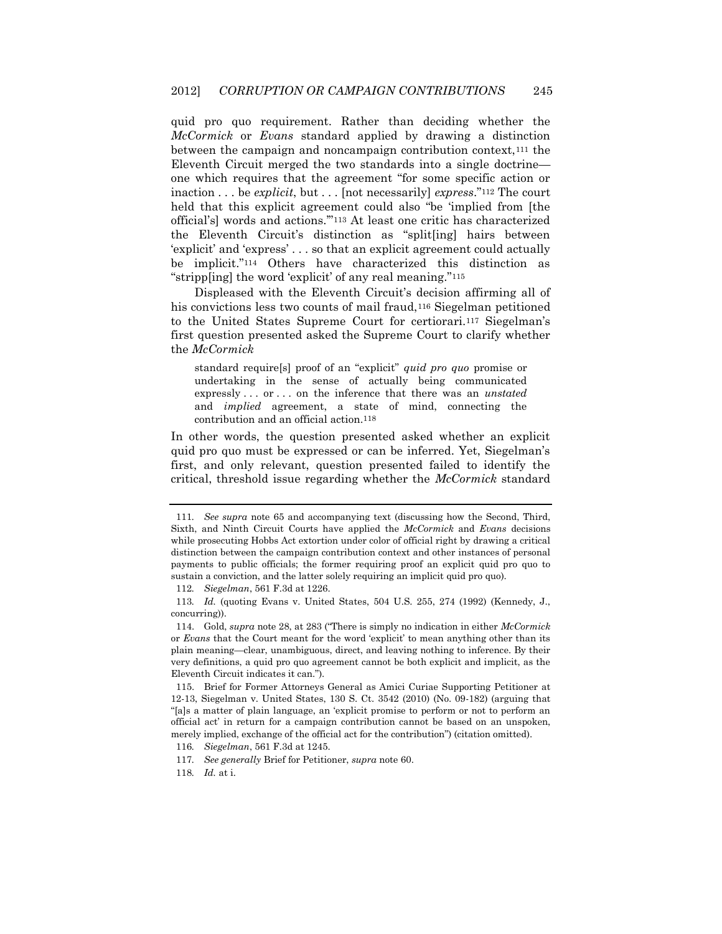quid pro quo requirement. Rather than deciding whether the *McCormick* or *Evans* standard applied by drawing a distinction between the campaign and noncampaign contribution context,<sup>111</sup> the Eleventh Circuit merged the two standards into a single doctrine one which requires that the agreement "for some specific action or inaction . . . be *explicit*, but . . . [not necessarily] *express*."<sup>112</sup> The court held that this explicit agreement could also "be 'implied from [the official's] words and actions.'"<sup>113</sup> At least one critic has characterized the Eleventh Circuit's distinction as "split[ing] hairs between 'explicit' and 'express' . . . so that an explicit agreement could actually be implicit."<sup>114</sup> Others have characterized this distinction as "stripp[ing] the word 'explicit' of any real meaning."<sup>115</sup>

Displeased with the Eleventh Circuit's decision affirming all of his convictions less two counts of mail fraud,<sup>116</sup> Siegelman petitioned to the United States Supreme Court for certiorari.<sup>117</sup> Siegelman's first question presented asked the Supreme Court to clarify whether the *McCormick*

standard require[s] proof of an "explicit" *quid pro quo* promise or undertaking in the sense of actually being communicated expressly . . . or . . . on the inference that there was an *unstated* and *implied* agreement, a state of mind, connecting the contribution and an official action.118

In other words, the question presented asked whether an explicit quid pro quo must be expressed or can be inferred. Yet, Siegelman's first, and only relevant, question presented failed to identify the critical, threshold issue regarding whether the *McCormick* standard

<sup>111</sup>*. See supra* note 65 and accompanying text (discussing how the Second, Third, Sixth, and Ninth Circuit Courts have applied the *McCormick* and *Evans* decisions while prosecuting Hobbs Act extortion under color of official right by drawing a critical distinction between the campaign contribution context and other instances of personal payments to public officials; the former requiring proof an explicit quid pro quo to sustain a conviction, and the latter solely requiring an implicit quid pro quo).

<sup>112</sup>*. Siegelman*, 561 F.3d at 1226.

<sup>113</sup>*. Id.* (quoting Evans v. United States, 504 U.S. 255, 274 (1992) (Kennedy, J., concurring)).

<sup>114.</sup> Gold, *supra* note 28, at 283 ("There is simply no indication in either *McCormick* or *Evans* that the Court meant for the word 'explicit' to mean anything other than its plain meaning—clear, unambiguous, direct, and leaving nothing to inference. By their very definitions, a quid pro quo agreement cannot be both explicit and implicit, as the Eleventh Circuit indicates it can.").

<sup>115.</sup> Brief for Former Attorneys General as Amici Curiae Supporting Petitioner at 12-13, Siegelman v. United States, 130 S. Ct. 3542 (2010) (No. 09-182) (arguing that "[a]s a matter of plain language, an 'explicit promise to perform or not to perform an official act' in return for a campaign contribution cannot be based on an unspoken, merely implied, exchange of the official act for the contribution") (citation omitted).

<sup>116</sup>*. Siegelman*, 561 F.3d at 1245.

<sup>117</sup>*. See generally* Brief for Petitioner, *supra* note 60.

<sup>118</sup>*. Id.* at i.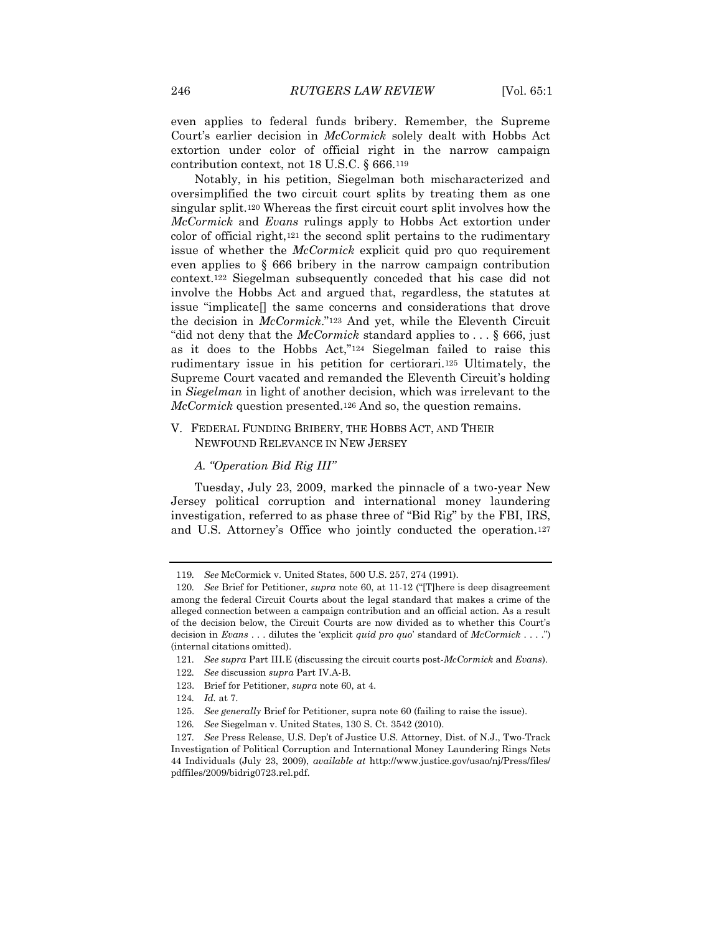even applies to federal funds bribery. Remember, the Supreme Court's earlier decision in *McCormick* solely dealt with Hobbs Act extortion under color of official right in the narrow campaign contribution context, not 18 U.S.C. § 666.<sup>119</sup>

Notably, in his petition, Siegelman both mischaracterized and oversimplified the two circuit court splits by treating them as one singular split.<sup>120</sup> Whereas the first circuit court split involves how the *McCormick* and *Evans* rulings apply to Hobbs Act extortion under color of official right,<sup>121</sup> the second split pertains to the rudimentary issue of whether the *McCormick* explicit quid pro quo requirement even applies to § 666 bribery in the narrow campaign contribution context.<sup>122</sup> Siegelman subsequently conceded that his case did not involve the Hobbs Act and argued that, regardless, the statutes at issue "implicate[] the same concerns and considerations that drove the decision in *McCormick*."<sup>123</sup> And yet, while the Eleventh Circuit "did not deny that the *McCormick* standard applies to . . . § 666, just as it does to the Hobbs Act,"<sup>124</sup> Siegelman failed to raise this rudimentary issue in his petition for certiorari.<sup>125</sup> Ultimately, the Supreme Court vacated and remanded the Eleventh Circuit's holding in *Siegelman* in light of another decision, which was irrelevant to the *McCormick* question presented.<sup>126</sup> And so, the question remains.

## V. FEDERAL FUNDING BRIBERY, THE HOBBS ACT, AND THEIR NEWFOUND RELEVANCE IN NEW JERSEY

#### *A. "Operation Bid Rig III"*

Tuesday, July 23, 2009, marked the pinnacle of a two-year New Jersey political corruption and international money laundering investigation, referred to as phase three of "Bid Rig" by the FBI, IRS, and U.S. Attorney's Office who jointly conducted the operation.<sup>127</sup>

<sup>119</sup>*. See* McCormick v. United States, 500 U.S. 257, 274 (1991).

<sup>120</sup>*. See* Brief for Petitioner, *supra* note 60, at 11-12 ("[T]here is deep disagreement among the federal Circuit Courts about the legal standard that makes a crime of the alleged connection between a campaign contribution and an official action. As a result of the decision below, the Circuit Courts are now divided as to whether this Court's decision in *Evans* . . . dilutes the 'explicit *quid pro quo*' standard of *McCormick* . . . .") (internal citations omitted).

<sup>121</sup>*. See supra* Part III.E (discussing the circuit courts post-*McCormick* and *Evans*).

<sup>122</sup>*. See* discussion *supra* Part IV.A-B.

<sup>123.</sup> Brief for Petitioner, *supra* note 60, at 4.

<sup>124</sup>*. Id.* at 7.

<sup>125.</sup> *See generally* Brief for Petitioner, supra note 60 (failing to raise the issue).

<sup>126</sup>*. See* Siegelman v. United States, 130 S. Ct. 3542 (2010).

<sup>127</sup>*. See* Press Release, U.S. Dep't of Justice U.S. Attorney, Dist. of N.J., Two-Track Investigation of Political Corruption and International Money Laundering Rings Nets 44 Individuals (July 23, 2009), *available at* http://www.justice.gov/usao/nj/Press/files/ pdffiles/2009/bidrig0723.rel.pdf.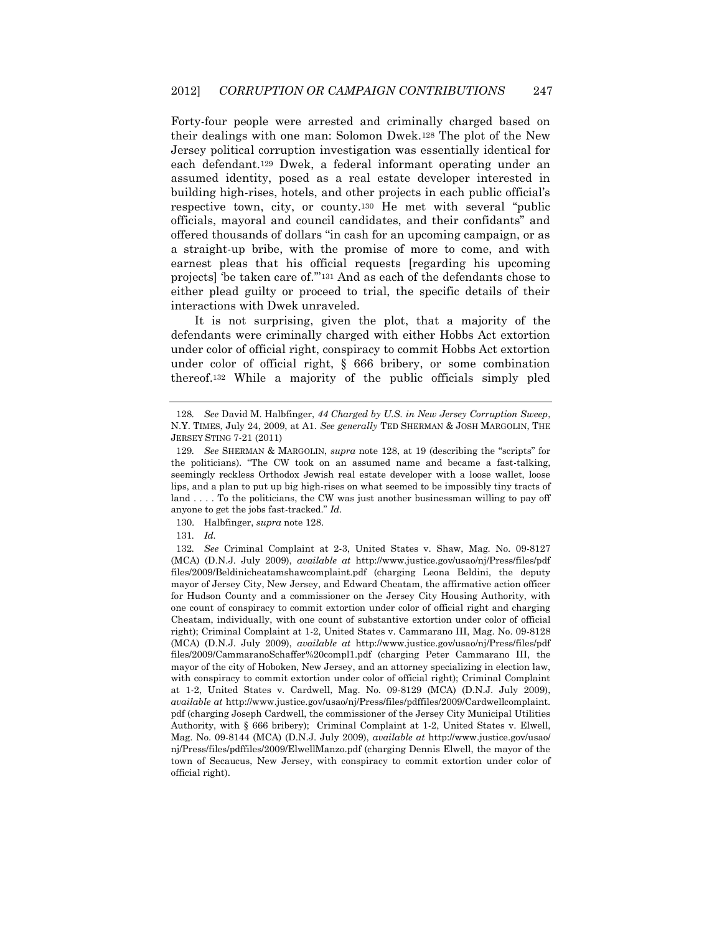Forty-four people were arrested and criminally charged based on their dealings with one man: Solomon Dwek.<sup>128</sup> The plot of the New Jersey political corruption investigation was essentially identical for each defendant.<sup>129</sup> Dwek, a federal informant operating under an assumed identity, posed as a real estate developer interested in building high-rises, hotels, and other projects in each public official's respective town, city, or county.<sup>130</sup> He met with several "public officials, mayoral and council candidates, and their confidants" and offered thousands of dollars "in cash for an upcoming campaign, or as a straight-up bribe, with the promise of more to come, and with earnest pleas that his official requests [regarding his upcoming projects] 'be taken care of.'"<sup>131</sup> And as each of the defendants chose to either plead guilty or proceed to trial, the specific details of their interactions with Dwek unraveled.

It is not surprising, given the plot, that a majority of the defendants were criminally charged with either Hobbs Act extortion under color of official right, conspiracy to commit Hobbs Act extortion under color of official right, § 666 bribery, or some combination thereof.<sup>132</sup> While a majority of the public officials simply pled

<sup>128</sup>*. See* David M. Halbfinger, *44 Charged by U.S. in New Jersey Corruption Sweep*, N.Y. TIMES, July 24, 2009, at A1. *See generally* TED SHERMAN & JOSH MARGOLIN, THE JERSEY STING 7-21 (2011)

<sup>129</sup>*. See* SHERMAN & MARGOLIN, *supra* note 128, at 19 (describing the "scripts" for the politicians). "The CW took on an assumed name and became a fast-talking, seemingly reckless Orthodox Jewish real estate developer with a loose wallet, loose lips, and a plan to put up big high-rises on what seemed to be impossibly tiny tracts of land . . . . To the politicians, the CW was just another businessman willing to pay off anyone to get the jobs fast-tracked." *Id.*

<sup>130.</sup> Halbfinger, *supra* note 128.

<sup>131</sup>*. Id.*

<sup>132</sup>*. See* Criminal Complaint at 2-3, United States v. Shaw, Mag. No. 09-8127 (MCA) (D.N.J. July 2009), *available at* http://www.justice.gov/usao/nj/Press/files/pdf files/2009/Beldinicheatamshawcomplaint.pdf (charging Leona Beldini, the deputy mayor of Jersey City, New Jersey, and Edward Cheatam, the affirmative action officer for Hudson County and a commissioner on the Jersey City Housing Authority, with one count of conspiracy to commit extortion under color of official right and charging Cheatam, individually, with one count of substantive extortion under color of official right); Criminal Complaint at 1-2, United States v. Cammarano III, Mag. No. 09-8128 (MCA) (D.N.J. July 2009), *available at* http://www.justice.gov/usao/nj/Press/files/pdf files/2009/CammaranoSchaffer%20compl1.pdf (charging Peter Cammarano III, the mayor of the city of Hoboken, New Jersey, and an attorney specializing in election law, with conspiracy to commit extortion under color of official right); Criminal Complaint at 1-2, United States v. Cardwell, Mag. No. 09-8129 (MCA) (D.N.J. July 2009), *available at* http://www.justice.gov/usao/nj/Press/files/pdffiles/2009/Cardwellcomplaint. pdf (charging Joseph Cardwell, the commissioner of the Jersey City Municipal Utilities Authority, with § 666 bribery); Criminal Complaint at 1-2, United States v. Elwell, Mag. No. 09-8144 (MCA) (D.N.J. July 2009), *available at* http://www.justice.gov/usao/ nj/Press/files/pdffiles/2009/ElwellManzo.pdf (charging Dennis Elwell, the mayor of the town of Secaucus, New Jersey, with conspiracy to commit extortion under color of official right).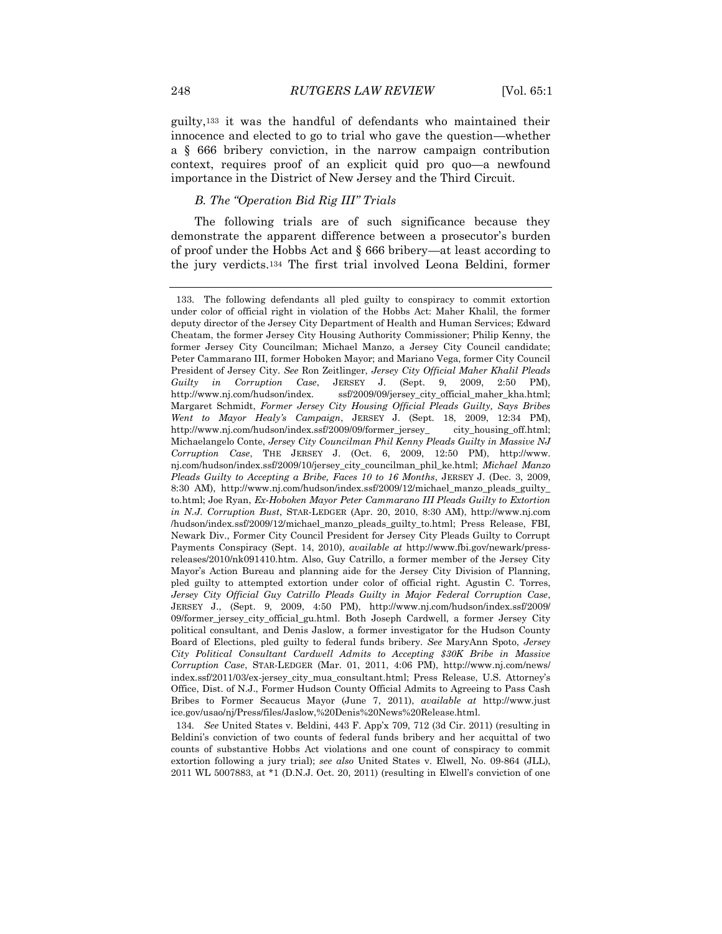guilty,<sup>133</sup> it was the handful of defendants who maintained their innocence and elected to go to trial who gave the question—whether a § 666 bribery conviction, in the narrow campaign contribution context, requires proof of an explicit quid pro quo—a newfound importance in the District of New Jersey and the Third Circuit.

### *B. The "Operation Bid Rig III" Trials*

The following trials are of such significance because they demonstrate the apparent difference between a prosecutor's burden of proof under the Hobbs Act and § 666 bribery—at least according to the jury verdicts.<sup>134</sup> The first trial involved Leona Beldini, former

134*. See* United States v. Beldini, 443 F. App'x 709, 712 (3d Cir. 2011) (resulting in Beldini's conviction of two counts of federal funds bribery and her acquittal of two counts of substantive Hobbs Act violations and one count of conspiracy to commit extortion following a jury trial); *see also* United States v. Elwell, No. 09-864 (JLL), 2011 WL 5007883, at \*1 (D.N.J. Oct. 20, 2011) (resulting in Elwell's conviction of one

<sup>133.</sup> The following defendants all pled guilty to conspiracy to commit extortion under color of official right in violation of the Hobbs Act: Maher Khalil, the former deputy director of the Jersey City Department of Health and Human Services; Edward Cheatam, the former Jersey City Housing Authority Commissioner; Philip Kenny, the former Jersey City Councilman; Michael Manzo, a Jersey City Council candidate; Peter Cammarano III, former Hoboken Mayor; and Mariano Vega, former City Council President of Jersey City. *See* Ron Zeitlinger, *Jersey City Official Maher Khalil Pleads Guilty in Corruption Case*, JERSEY J. (Sept. 9, 2009, 2:50 PM), http://www.nj.com/hudson/index. ssf/2009/09/jersey\_city\_official\_maher\_kha.html; Margaret Schmidt, *Former Jersey City Housing Official Pleads Guilty, Says Bribes Went to Mayor Healy's Campaign*, JERSEY J. (Sept. 18, 2009, 12:34 PM), http://www.nj.com/hudson/index.ssf/2009/09/former\_jersey\_ city\_housing\_off.html; Michaelangelo Conte, *Jersey City Councilman Phil Kenny Pleads Guilty in Massive NJ Corruption Case*, THE JERSEY J. (Oct. 6, 2009, 12:50 PM), http://www. nj.com/hudson/index.ssf/2009/10/jersey\_city\_councilman\_phil\_ke.html; *Michael Manzo Pleads Guilty to Accepting a Bribe, Faces 10 to 16 Months*, JERSEY J. (Dec. 3, 2009, 8:30 AM), http://www.nj.com/hudson/index.ssf/2009/12/michael\_manzo\_pleads\_guilty\_ to.html; Joe Ryan, *Ex-Hoboken Mayor Peter Cammarano III Pleads Guilty to Extortion in N.J. Corruption Bust*, STAR-LEDGER (Apr. 20, 2010, 8:30 AM), http://www.nj.com /hudson/index.ssf/2009/12/michael\_manzo\_pleads\_guilty\_to.html; Press Release, FBI, Newark Div., Former City Council President for Jersey City Pleads Guilty to Corrupt Payments Conspiracy (Sept. 14, 2010), *available at* http://www.fbi.gov/newark/pressreleases/2010/nk091410.htm. Also, Guy Catrillo, a former member of the Jersey City Mayor's Action Bureau and planning aide for the Jersey City Division of Planning, pled guilty to attempted extortion under color of official right. Agustin C. Torres, *Jersey City Official Guy Catrillo Pleads Guilty in Major Federal Corruption Case*, JERSEY J., (Sept. 9, 2009, 4:50 PM), http://www.nj.com/hudson/index.ssf/2009/ 09/former\_jersey\_city\_official\_gu.html. Both Joseph Cardwell, a former Jersey City political consultant, and Denis Jaslow, a former investigator for the Hudson County Board of Elections, pled guilty to federal funds bribery. *See* MaryAnn Spoto, *Jersey City Political Consultant Cardwell Admits to Accepting \$30K Bribe in Massive Corruption Case*, STAR-LEDGER (Mar. 01, 2011, 4:06 PM), http://www.nj.com/news/ index.ssf/2011/03/ex-jersey\_city\_mua\_consultant.html; Press Release, U.S. Attorney's Office, Dist. of N.J., Former Hudson County Official Admits to Agreeing to Pass Cash Bribes to Former Secaucus Mayor (June 7, 2011), *available at* http://www.just ice.gov/usao/nj/Press/files/Jaslow,%20Denis%20News%20Release.html.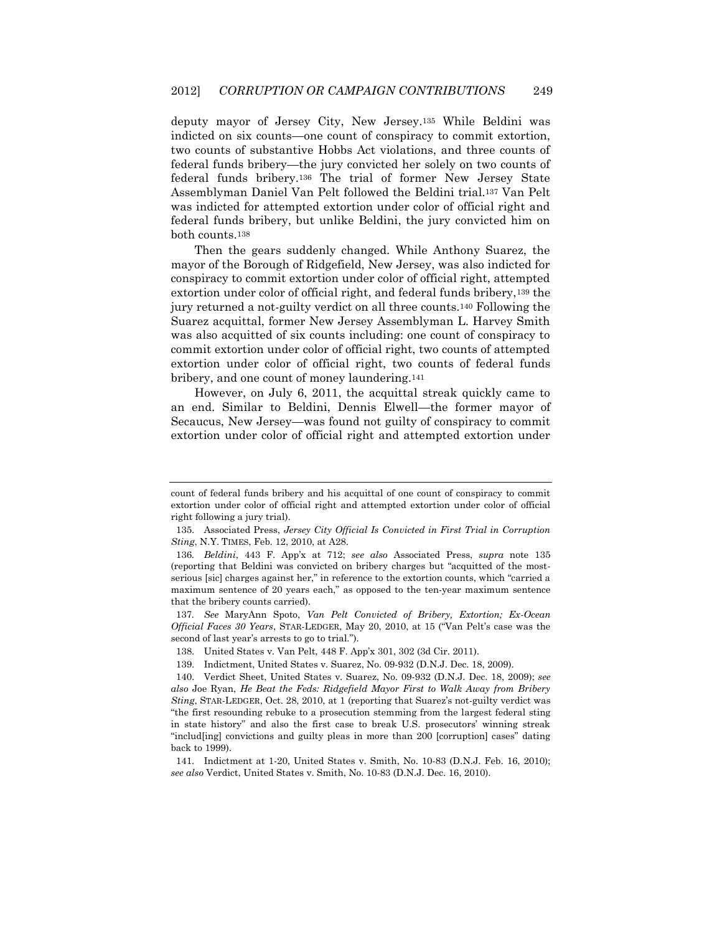deputy mayor of Jersey City, New Jersey.<sup>135</sup> While Beldini was indicted on six counts—one count of conspiracy to commit extortion, two counts of substantive Hobbs Act violations, and three counts of federal funds bribery—the jury convicted her solely on two counts of federal funds bribery.<sup>136</sup> The trial of former New Jersey State Assemblyman Daniel Van Pelt followed the Beldini trial.<sup>137</sup> Van Pelt was indicted for attempted extortion under color of official right and federal funds bribery, but unlike Beldini, the jury convicted him on both counts.<sup>138</sup>

Then the gears suddenly changed. While Anthony Suarez, the mayor of the Borough of Ridgefield, New Jersey, was also indicted for conspiracy to commit extortion under color of official right, attempted extortion under color of official right, and federal funds bribery,<sup>139</sup> the jury returned a not-guilty verdict on all three counts.<sup>140</sup> Following the Suarez acquittal, former New Jersey Assemblyman L. Harvey Smith was also acquitted of six counts including: one count of conspiracy to commit extortion under color of official right, two counts of attempted extortion under color of official right, two counts of federal funds bribery, and one count of money laundering.<sup>141</sup>

However, on July 6, 2011, the acquittal streak quickly came to an end. Similar to Beldini, Dennis Elwell—the former mayor of Secaucus, New Jersey—was found not guilty of conspiracy to commit extortion under color of official right and attempted extortion under

count of federal funds bribery and his acquittal of one count of conspiracy to commit extortion under color of official right and attempted extortion under color of official right following a jury trial).

<sup>135.</sup> Associated Press, *Jersey City Official Is Convicted in First Trial in Corruption Sting*, N.Y. TIMES, Feb. 12, 2010, at A28.

<sup>136</sup>*. Beldini*, 443 F. App'x at 712; *see also* Associated Press, *supra* note 135 (reporting that Beldini was convicted on bribery charges but "acquitted of the mostserious [sic] charges against her," in reference to the extortion counts, which "carried a maximum sentence of 20 years each," as opposed to the ten-year maximum sentence that the bribery counts carried).

<sup>137</sup>*. See* MaryAnn Spoto, *Van Pelt Convicted of Bribery, Extortion; Ex-Ocean Official Faces 30 Years*, STAR-LEDGER, May 20, 2010, at 15 ("Van Pelt's case was the second of last year's arrests to go to trial.").

<sup>138.</sup> United States v. Van Pelt, 448 F. App'x 301, 302 (3d Cir. 2011).

<sup>139.</sup> Indictment, United States v. Suarez, No. 09-932 (D.N.J. Dec. 18, 2009).

<sup>140.</sup> Verdict Sheet, United States v. Suarez, No. 09-932 (D.N.J. Dec. 18, 2009); *see also* Joe Ryan, *He Beat the Feds: Ridgefield Mayor First to Walk Away from Bribery Sting*, STAR-LEDGER, Oct. 28, 2010, at 1 (reporting that Suarez's not-guilty verdict was "the first resounding rebuke to a prosecution stemming from the largest federal sting in state history" and also the first case to break U.S. prosecutors' winning streak "includ[ing] convictions and guilty pleas in more than 200 [corruption] cases" dating back to 1999).

<sup>141.</sup> Indictment at 1-20, United States v. Smith, No. 10-83 (D.N.J. Feb. 16, 2010); *see also* Verdict, United States v. Smith, No. 10-83 (D.N.J. Dec. 16, 2010).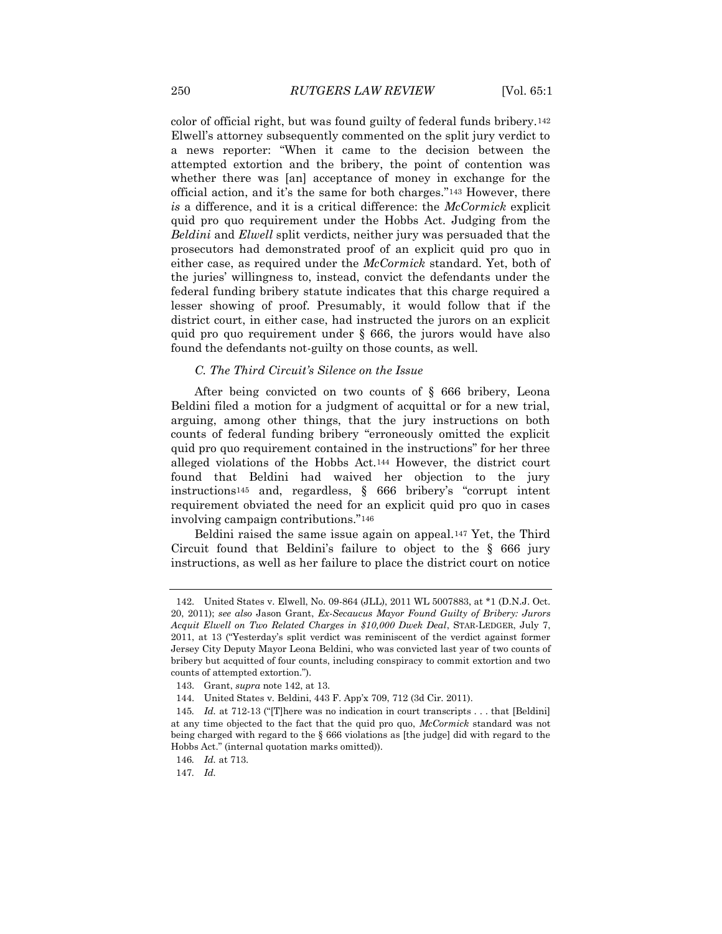color of official right, but was found guilty of federal funds bribery.<sup>142</sup> Elwell's attorney subsequently commented on the split jury verdict to a news reporter: "When it came to the decision between the attempted extortion and the bribery, the point of contention was whether there was [an] acceptance of money in exchange for the official action, and it's the same for both charges."<sup>143</sup> However, there *is* a difference, and it is a critical difference: the *McCormick* explicit quid pro quo requirement under the Hobbs Act. Judging from the *Beldini* and *Elwell* split verdicts, neither jury was persuaded that the prosecutors had demonstrated proof of an explicit quid pro quo in either case, as required under the *McCormick* standard. Yet, both of the juries' willingness to, instead, convict the defendants under the federal funding bribery statute indicates that this charge required a lesser showing of proof. Presumably, it would follow that if the district court, in either case, had instructed the jurors on an explicit quid pro quo requirement under § 666, the jurors would have also found the defendants not-guilty on those counts, as well.

#### *C. The Third Circuit's Silence on the Issue*

After being convicted on two counts of § 666 bribery, Leona Beldini filed a motion for a judgment of acquittal or for a new trial, arguing, among other things, that the jury instructions on both counts of federal funding bribery "erroneously omitted the explicit quid pro quo requirement contained in the instructions" for her three alleged violations of the Hobbs Act.<sup>144</sup> However, the district court found that Beldini had waived her objection to the jury instructions<sup>145</sup> and, regardless, § 666 bribery's "corrupt intent requirement obviated the need for an explicit quid pro quo in cases involving campaign contributions."<sup>146</sup>

Beldini raised the same issue again on appeal.<sup>147</sup> Yet, the Third Circuit found that Beldini's failure to object to the § 666 jury instructions, as well as her failure to place the district court on notice

<sup>142.</sup> United States v. Elwell, No. 09-864 (JLL), 2011 WL 5007883, at \*1 (D.N.J. Oct. 20, 2011); *see also* Jason Grant, *Ex-Secaucus Mayor Found Guilty of Bribery: Jurors Acquit Elwell on Two Related Charges in \$10,000 Dwek Deal*, STAR-LEDGER, July 7, 2011, at 13 ("Yesterday's split verdict was reminiscent of the verdict against former Jersey City Deputy Mayor Leona Beldini, who was convicted last year of two counts of bribery but acquitted of four counts, including conspiracy to commit extortion and two counts of attempted extortion.").

<sup>143.</sup> Grant, *supra* note 142, at 13.

<sup>144.</sup> United States v. Beldini, 443 F. App'x 709, 712 (3d Cir. 2011)*.*

<sup>145</sup>*. Id.* at 712-13 ("[T]here was no indication in court transcripts . . . that [Beldini] at any time objected to the fact that the quid pro quo, *McCormick* standard was not being charged with regard to the  $\S666$  violations as [the judge] did with regard to the Hobbs Act." (internal quotation marks omitted)).

<sup>146</sup>*. Id.* at 713.

<sup>147</sup>*. Id.*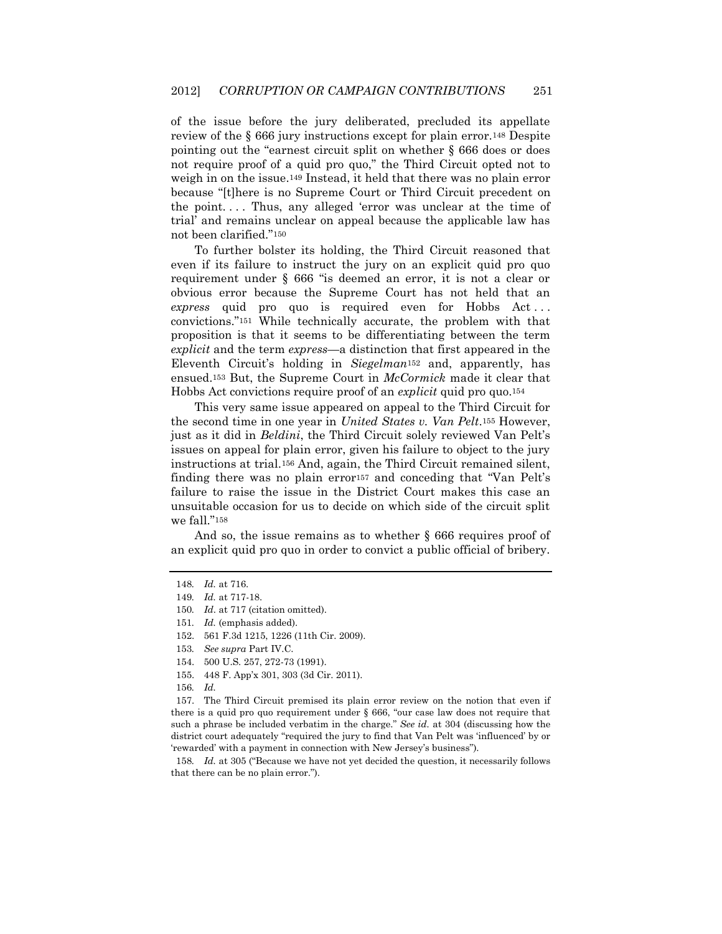of the issue before the jury deliberated, precluded its appellate review of the § 666 jury instructions except for plain error.<sup>148</sup> Despite pointing out the "earnest circuit split on whether § 666 does or does not require proof of a quid pro quo," the Third Circuit opted not to weigh in on the issue.<sup>149</sup> Instead, it held that there was no plain error because "[t]here is no Supreme Court or Third Circuit precedent on the point.... Thus, any alleged 'error was unclear at the time of trial' and remains unclear on appeal because the applicable law has not been clarified."<sup>150</sup>

To further bolster its holding, the Third Circuit reasoned that even if its failure to instruct the jury on an explicit quid pro quo requirement under § 666 "is deemed an error, it is not a clear or obvious error because the Supreme Court has not held that an *express* quid pro quo is required even for Hobbs Act . . . convictions."<sup>151</sup> While technically accurate, the problem with that proposition is that it seems to be differentiating between the term *explicit* and the term *express*—a distinction that first appeared in the Eleventh Circuit's holding in *Siegelman*<sup>152</sup> and, apparently, has ensued.<sup>153</sup> But, the Supreme Court in *McCormick* made it clear that Hobbs Act convictions require proof of an *explicit* quid pro quo.<sup>154</sup>

This very same issue appeared on appeal to the Third Circuit for the second time in one year in *United States v. Van Pelt*.<sup>155</sup> However, just as it did in *Beldini*, the Third Circuit solely reviewed Van Pelt's issues on appeal for plain error, given his failure to object to the jury instructions at trial.<sup>156</sup> And, again, the Third Circuit remained silent, finding there was no plain error<sup>157</sup> and conceding that "Van Pelt's failure to raise the issue in the District Court makes this case an unsuitable occasion for us to decide on which side of the circuit split we fall."<sup>158</sup>

And so, the issue remains as to whether § 666 requires proof of an explicit quid pro quo in order to convict a public official of bribery.

157. The Third Circuit premised its plain error review on the notion that even if there is a quid pro quo requirement under § 666, "our case law does not require that such a phrase be included verbatim in the charge." *See id.* at 304 (discussing how the district court adequately "required the jury to find that Van Pelt was 'influenced' by or 'rewarded' with a payment in connection with New Jersey's business").

158*. Id.* at 305 ("Because we have not yet decided the question, it necessarily follows that there can be no plain error.").

<sup>148</sup>*. Id.* at 716.

<sup>149</sup>*. Id.* at 717-18.

<sup>150</sup>*. Id*. at 717 (citation omitted).

<sup>151</sup>*. Id.* (emphasis added).

<sup>152.</sup> 561 F.3d 1215, 1226 (11th Cir. 2009).

<sup>153</sup>*. See supra* Part IV.C.

<sup>154.</sup> 500 U.S. 257, 272-73 (1991).

<sup>155.</sup> 448 F. App'x 301, 303 (3d Cir. 2011).

<sup>156</sup>*. Id.*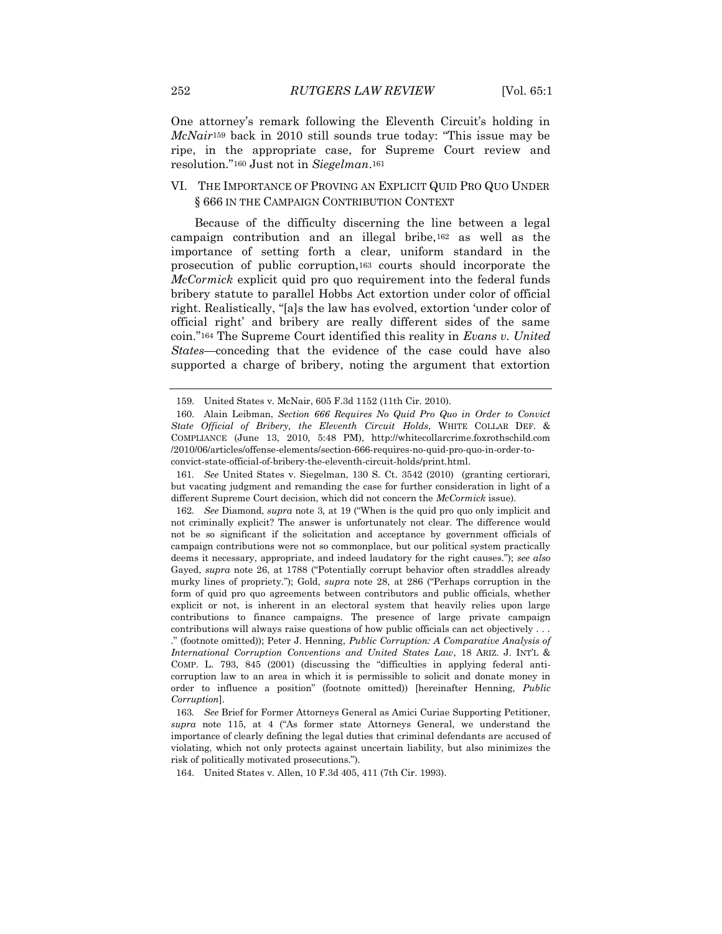One attorney's remark following the Eleventh Circuit's holding in *McNair*<sup>159</sup> back in 2010 still sounds true today: "This issue may be ripe, in the appropriate case, for Supreme Court review and resolution."<sup>160</sup> Just not in *Siegelman*.<sup>161</sup>

## VI. THE IMPORTANCE OF PROVING AN EXPLICIT QUID PRO QUO UNDER § 666 IN THE CAMPAIGN CONTRIBUTION CONTEXT

Because of the difficulty discerning the line between a legal campaign contribution and an illegal bribe,<sup>162</sup> as well as the importance of setting forth a clear, uniform standard in the prosecution of public corruption,<sup>163</sup> courts should incorporate the *McCormick* explicit quid pro quo requirement into the federal funds bribery statute to parallel Hobbs Act extortion under color of official right. Realistically, "[a]s the law has evolved, extortion 'under color of official right' and bribery are really different sides of the same coin."<sup>164</sup> The Supreme Court identified this reality in *Evans v. United States*—conceding that the evidence of the case could have also supported a charge of bribery, noting the argument that extortion

161*. See* United States v. Siegelman, 130 S. Ct. 3542 (2010) (granting certiorari, but vacating judgment and remanding the case for further consideration in light of a different Supreme Court decision, which did not concern the *McCormick* issue).

162*. See* Diamond, *supra* note 3, at 19 ("When is the quid pro quo only implicit and not criminally explicit? The answer is unfortunately not clear. The difference would not be so significant if the solicitation and acceptance by government officials of campaign contributions were not so commonplace, but our political system practically deems it necessary, appropriate, and indeed laudatory for the right causes."); *see also* Gayed, *supra* note 26, at 1788 ("Potentially corrupt behavior often straddles already murky lines of propriety."); Gold, *supra* note 28, at 286 ("Perhaps corruption in the form of quid pro quo agreements between contributors and public officials, whether explicit or not, is inherent in an electoral system that heavily relies upon large contributions to finance campaigns. The presence of large private campaign contributions will always raise questions of how public officials can act objectively . . . ." (footnote omitted)); Peter J. Henning, *Public Corruption: A Comparative Analysis of International Corruption Conventions and United States Law*, 18 ARIZ. J. INT'L & COMP. L. 793, 845 (2001) (discussing the "difficulties in applying federal anticorruption law to an area in which it is permissible to solicit and donate money in order to influence a position" (footnote omitted)) [hereinafter Henning, *Public Corruption*].

163*. See* Brief for Former Attorneys General as Amici Curiae Supporting Petitioner, *supra* note 115, at 4 ("As former state Attorneys General, we understand the importance of clearly defining the legal duties that criminal defendants are accused of violating, which not only protects against uncertain liability, but also minimizes the risk of politically motivated prosecutions.").

164. United States v. Allen, 10 F.3d 405, 411 (7th Cir. 1993).

<sup>159.</sup> United States v. McNair, 605 F.3d 1152 (11th Cir. 2010).

<sup>160.</sup> Alain Leibman, *Section 666 Requires No Quid Pro Quo in Order to Convict State Official of Bribery, the Eleventh Circuit Holds*, WHITE COLLAR DEF. & COMPLIANCE (June 13, 2010, 5:48 PM), http://whitecollarcrime.foxrothschild.com /2010/06/articles/offense-elements/section-666-requires-no-quid-pro-quo-in-order-toconvict-state-official-of-bribery-the-eleventh-circuit-holds/print.html.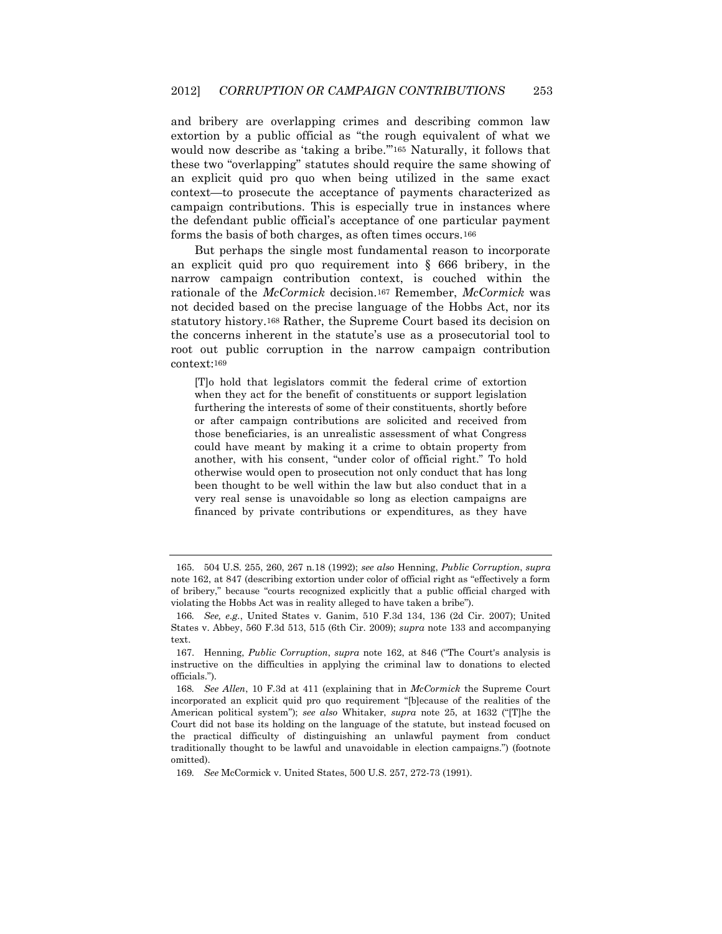and bribery are overlapping crimes and describing common law extortion by a public official as "the rough equivalent of what we would now describe as 'taking a bribe.'"<sup>165</sup> Naturally, it follows that these two "overlapping" statutes should require the same showing of an explicit quid pro quo when being utilized in the same exact context—to prosecute the acceptance of payments characterized as campaign contributions. This is especially true in instances where the defendant public official's acceptance of one particular payment forms the basis of both charges, as often times occurs.<sup>166</sup>

But perhaps the single most fundamental reason to incorporate an explicit quid pro quo requirement into § 666 bribery, in the narrow campaign contribution context, is couched within the rationale of the *McCormick* decision.<sup>167</sup> Remember, *McCormick* was not decided based on the precise language of the Hobbs Act, nor its statutory history.<sup>168</sup> Rather, the Supreme Court based its decision on the concerns inherent in the statute's use as a prosecutorial tool to root out public corruption in the narrow campaign contribution context:<sup>169</sup>

[T]o hold that legislators commit the federal crime of extortion when they act for the benefit of constituents or support legislation furthering the interests of some of their constituents, shortly before or after campaign contributions are solicited and received from those beneficiaries, is an unrealistic assessment of what Congress could have meant by making it a crime to obtain property from another, with his consent, "under color of official right." To hold otherwise would open to prosecution not only conduct that has long been thought to be well within the law but also conduct that in a very real sense is unavoidable so long as election campaigns are financed by private contributions or expenditures, as they have

<sup>165.</sup> 504 U.S. 255, 260, 267 n.18 (1992); *see also* Henning, *Public Corruption*, *supra* note 162, at 847 (describing extortion under color of official right as "effectively a form of bribery," because "courts recognized explicitly that a public official charged with violating the Hobbs Act was in reality alleged to have taken a bribe").

<sup>166</sup>*. See, e.g.*, United States v. Ganim, 510 F.3d 134, 136 (2d Cir. 2007); United States v. Abbey, 560 F.3d 513, 515 (6th Cir. 2009); *supra* note 133 and accompanying text.

<sup>167.</sup> Henning, *Public Corruption*, *supra* note 162, at 846 ("The Court's analysis is instructive on the difficulties in applying the criminal law to donations to elected officials.").

<sup>168</sup>*. See Allen*, 10 F.3d at 411 (explaining that in *McCormick* the Supreme Court incorporated an explicit quid pro quo requirement "[b]ecause of the realities of the American political system"); *see also* Whitaker, *supra* note 25, at 1632 ("[T]he the Court did not base its holding on the language of the statute, but instead focused on the practical difficulty of distinguishing an unlawful payment from conduct traditionally thought to be lawful and unavoidable in election campaigns.") (footnote omitted).

<sup>169</sup>*. See* McCormick v. United States, 500 U.S. 257, 272-73 (1991).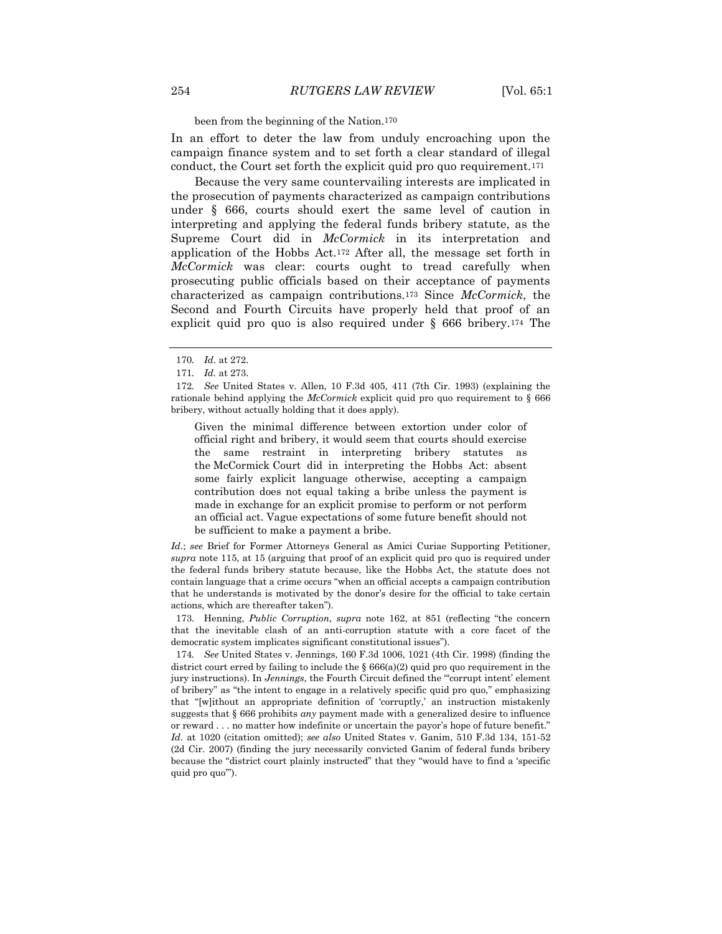been from the beginning of the Nation.170

In an effort to deter the law from unduly encroaching upon the campaign finance system and to set forth a clear standard of illegal conduct, the Court set forth the explicit quid pro quo requirement.<sup>171</sup>

Because the very same countervailing interests are implicated in the prosecution of payments characterized as campaign contributions under § 666, courts should exert the same level of caution in interpreting and applying the federal funds bribery statute, as the Supreme Court did in *McCormick* in its interpretation and application of the Hobbs Act.<sup>172</sup> After all, the message set forth in *McCormick* was clear: courts ought to tread carefully when prosecuting public officials based on their acceptance of payments characterized as campaign contributions.<sup>173</sup> Since *McCormick*, the Second and Fourth Circuits have properly held that proof of an explicit quid pro quo is also required under § 666 bribery.<sup>174</sup> The

Given the minimal difference between extortion under color of official right and bribery, it would seem that courts should exercise the same restraint in interpreting bribery statutes as the McCormick Court did in interpreting the Hobbs Act: absent some fairly explicit language otherwise, accepting a campaign contribution does not equal taking a bribe unless the payment is made in exchange for an explicit promise to perform or not perform an official act. Vague expectations of some future benefit should not be sufficient to make a payment a bribe.

*Id.*; *see* Brief for Former Attorneys General as Amici Curiae Supporting Petitioner, *supra* note 115, at 15 (arguing that proof of an explicit quid pro quo is required under the federal funds bribery statute because, like the Hobbs Act, the statute does not contain language that a crime occurs "when an official accepts a campaign contribution that he understands is motivated by the donor's desire for the official to take certain actions, which are thereafter taken").

173. Henning, *Public Corruption*, *supra* note 162, at 851 (reflecting "the concern that the inevitable clash of an anti-corruption statute with a core facet of the democratic system implicates significant constitutional issues").

174*. See* United States v. Jennings, 160 F.3d 1006, 1021 (4th Cir. 1998) (finding the district court erred by failing to include the  $\S 666(a)(2)$  quid pro quo requirement in the jury instructions). In *Jennings*, the Fourth Circuit defined the "'corrupt intent' element of bribery" as "the intent to engage in a relatively specific quid pro quo," emphasizing that "[w]ithout an appropriate definition of 'corruptly,' an instruction mistakenly suggests that § 666 prohibits *any* payment made with a generalized desire to influence or reward . . . no matter how indefinite or uncertain the payor's hope of future benefit." *Id.* at 1020 (citation omitted); *see also* United States v. Ganim, 510 F.3d 134, 151-52 (2d Cir. 2007) (finding the jury necessarily convicted Ganim of federal funds bribery because the "district court plainly instructed" that they "would have to find a 'specific quid pro quo'").

<sup>170</sup>*. Id*. at 272.

<sup>171</sup>*. Id.* at 273.

<sup>172</sup>*. See* United States v. Allen, 10 F.3d 405, 411 (7th Cir. 1993) (explaining the rationale behind applying the *McCormick* explicit quid pro quo requirement to § 666 bribery, without actually holding that it does apply).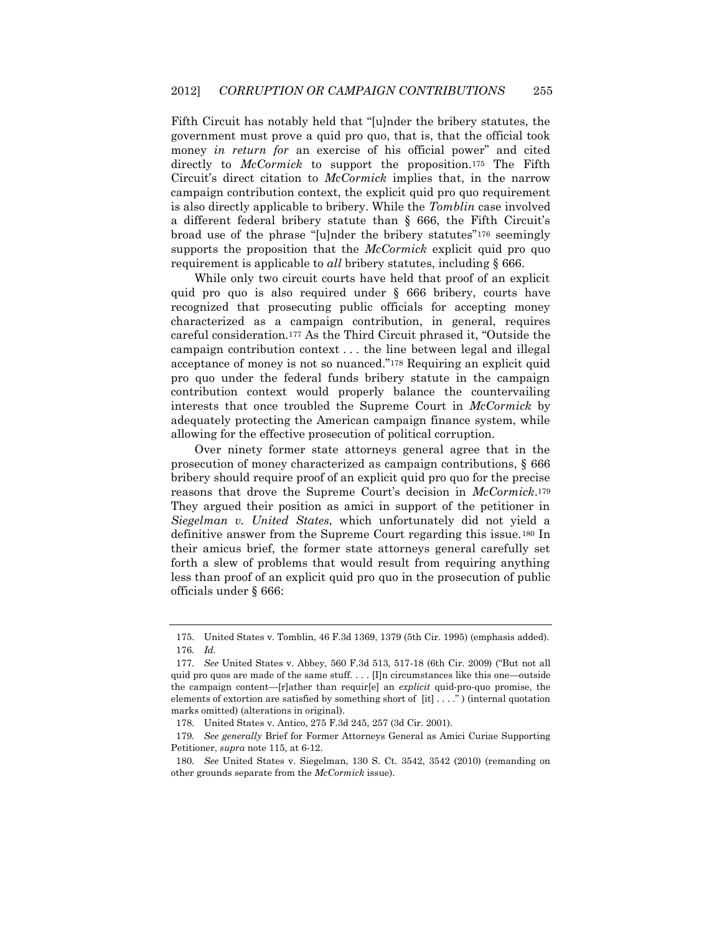Fifth Circuit has notably held that "[u]nder the bribery statutes, the government must prove a quid pro quo, that is, that the official took money *in return for* an exercise of his official power" and cited directly to *McCormick* to support the proposition.<sup>175</sup> The Fifth Circuit's direct citation to *McCormick* implies that, in the narrow campaign contribution context, the explicit quid pro quo requirement is also directly applicable to bribery. While the *Tomblin* case involved a different federal bribery statute than § 666, the Fifth Circuit's broad use of the phrase "[u]nder the bribery statutes"<sup>176</sup> seemingly supports the proposition that the *McCormick* explicit quid pro quo requirement is applicable to *all* bribery statutes, including § 666.

While only two circuit courts have held that proof of an explicit quid pro quo is also required under § 666 bribery, courts have recognized that prosecuting public officials for accepting money characterized as a campaign contribution, in general, requires careful consideration.<sup>177</sup> As the Third Circuit phrased it, "Outside the campaign contribution context . . . the line between legal and illegal acceptance of money is not so nuanced."<sup>178</sup> Requiring an explicit quid pro quo under the federal funds bribery statute in the campaign contribution context would properly balance the countervailing interests that once troubled the Supreme Court in *McCormick* by adequately protecting the American campaign finance system, while allowing for the effective prosecution of political corruption.

Over ninety former state attorneys general agree that in the prosecution of money characterized as campaign contributions, § 666 bribery should require proof of an explicit quid pro quo for the precise reasons that drove the Supreme Court's decision in *McCormick*.<sup>179</sup> They argued their position as amici in support of the petitioner in *Siegelman v. United States*, which unfortunately did not yield a definitive answer from the Supreme Court regarding this issue.<sup>180</sup> In their amicus brief, the former state attorneys general carefully set forth a slew of problems that would result from requiring anything less than proof of an explicit quid pro quo in the prosecution of public officials under § 666:

<sup>175.</sup> United States v. Tomblin, 46 F.3d 1369, 1379 (5th Cir. 1995) (emphasis added). 176*. Id.*

<sup>177</sup>*. See* United States v. Abbey, 560 F.3d 513, 517-18 (6th Cir. 2009) ("But not all quid pro quos are made of the same stuff. . . . [I]n circumstances like this one—outside the campaign content—[r]ather than requir[e] an *explicit* quid-pro-quo promise, the elements of extortion are satisfied by something short of  $[i_1, \ldots, n]$  (internal quotation marks omitted) (alterations in original).

<sup>178.</sup> United States v. Antico, 275 F.3d 245, 257 (3d Cir. 2001).

<sup>179</sup>*. See generally* Brief for Former Attorneys General as Amici Curiae Supporting Petitioner, *supra* note 115, at 6-12.

<sup>180</sup>*. See* United States v. Siegelman, 130 S. Ct. 3542, 3542 (2010) (remanding on other grounds separate from the *McCormick* issue).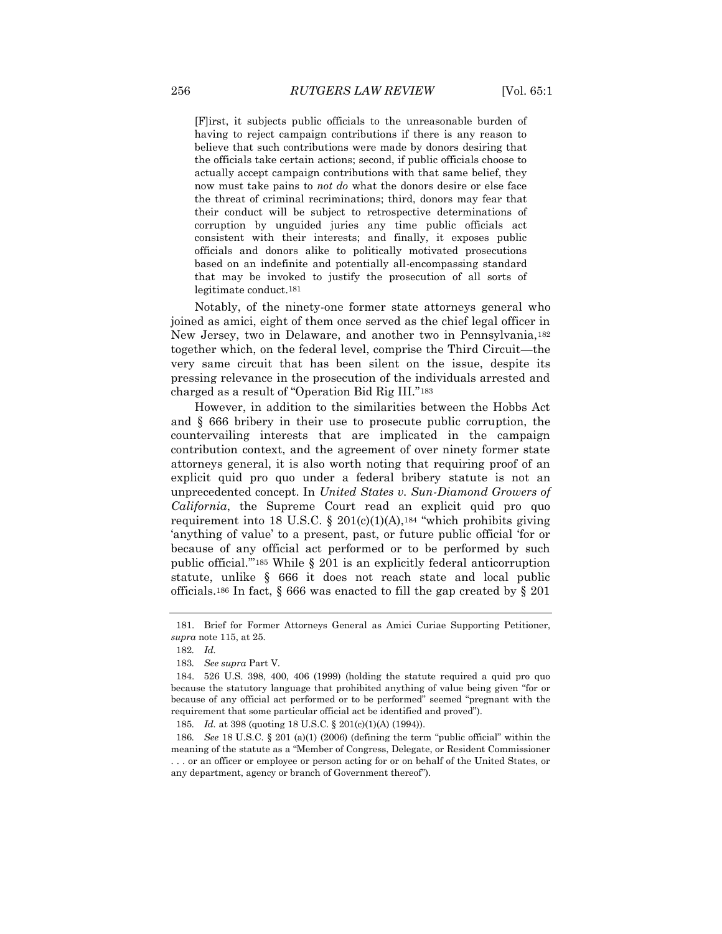[F]irst, it subjects public officials to the unreasonable burden of having to reject campaign contributions if there is any reason to believe that such contributions were made by donors desiring that the officials take certain actions; second, if public officials choose to actually accept campaign contributions with that same belief, they now must take pains to *not do* what the donors desire or else face the threat of criminal recriminations; third, donors may fear that their conduct will be subject to retrospective determinations of corruption by unguided juries any time public officials act consistent with their interests; and finally, it exposes public officials and donors alike to politically motivated prosecutions based on an indefinite and potentially all-encompassing standard that may be invoked to justify the prosecution of all sorts of legitimate conduct.181

Notably, of the ninety-one former state attorneys general who joined as amici, eight of them once served as the chief legal officer in New Jersey, two in Delaware, and another two in Pennsylvania,<sup>182</sup> together which, on the federal level, comprise the Third Circuit—the very same circuit that has been silent on the issue, despite its pressing relevance in the prosecution of the individuals arrested and charged as a result of "Operation Bid Rig III."<sup>183</sup>

However, in addition to the similarities between the Hobbs Act and § 666 bribery in their use to prosecute public corruption, the countervailing interests that are implicated in the campaign contribution context, and the agreement of over ninety former state attorneys general, it is also worth noting that requiring proof of an explicit quid pro quo under a federal bribery statute is not an unprecedented concept. In *United States v. Sun-Diamond Growers of California*, the Supreme Court read an explicit quid pro quo requirement into 18 U.S.C. § 201(c)(1)(A),<sup>184</sup> "which prohibits giving 'anything of value' to a present, past, or future public official 'for or because of any official act performed or to be performed by such public official.'"<sup>185</sup> While § 201 is an explicitly federal anticorruption statute, unlike § 666 it does not reach state and local public officials.<sup>186</sup> In fact, § 666 was enacted to fill the gap created by § 201

<sup>181.</sup> Brief for Former Attorneys General as Amici Curiae Supporting Petitioner, *supra* note 115, at 25.

<sup>182</sup>*. Id.*

<sup>183</sup>*. See supra* Part V.

<sup>184.</sup> 526 U.S. 398, 400, 406 (1999) (holding the statute required a quid pro quo because the statutory language that prohibited anything of value being given "for or because of any official act performed or to be performed" seemed "pregnant with the requirement that some particular official act be identified and proved").

<sup>185</sup>*. Id.* at 398 (quoting 18 U.S.C. § 201(c)(1)(A) (1994)).

<sup>186</sup>*. See* 18 U.S.C. § 201 (a)(1) (2006) (defining the term "public official" within the meaning of the statute as a "Member of Congress, Delegate, or Resident Commissioner . . . or an officer or employee or person acting for or on behalf of the United States, or any department, agency or branch of Government thereof").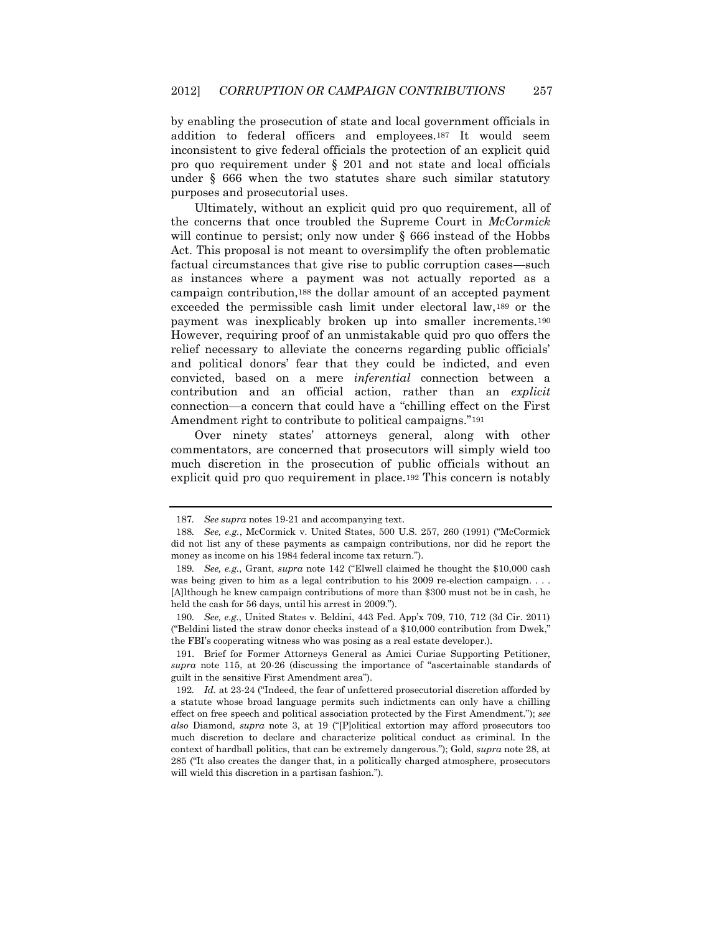by enabling the prosecution of state and local government officials in addition to federal officers and employees.<sup>187</sup> It would seem inconsistent to give federal officials the protection of an explicit quid pro quo requirement under § 201 and not state and local officials under § 666 when the two statutes share such similar statutory purposes and prosecutorial uses.

Ultimately, without an explicit quid pro quo requirement, all of the concerns that once troubled the Supreme Court in *McCormick* will continue to persist; only now under  $\S$  666 instead of the Hobbs Act. This proposal is not meant to oversimplify the often problematic factual circumstances that give rise to public corruption cases—such as instances where a payment was not actually reported as a campaign contribution,<sup>188</sup> the dollar amount of an accepted payment exceeded the permissible cash limit under electoral law,<sup>189</sup> or the payment was inexplicably broken up into smaller increments.<sup>190</sup> However, requiring proof of an unmistakable quid pro quo offers the relief necessary to alleviate the concerns regarding public officials' and political donors' fear that they could be indicted, and even convicted, based on a mere *inferential* connection between a contribution and an official action, rather than an *explicit* connection—a concern that could have a "chilling effect on the First Amendment right to contribute to political campaigns."<sup>191</sup>

Over ninety states' attorneys general, along with other commentators, are concerned that prosecutors will simply wield too much discretion in the prosecution of public officials without an explicit quid pro quo requirement in place.<sup>192</sup> This concern is notably

<sup>187</sup>*. See supra* notes 19-21 and accompanying text.

<sup>188</sup>*. See, e.g.*, McCormick v. United States, 500 U.S. 257, 260 (1991) ("McCormick did not list any of these payments as campaign contributions, nor did he report the money as income on his 1984 federal income tax return.").

<sup>189</sup>*. See, e.g.*, Grant, *supra* note 142 ("Elwell claimed he thought the \$10,000 cash was being given to him as a legal contribution to his 2009 re-election campaign. . . . [A]lthough he knew campaign contributions of more than \$300 must not be in cash, he held the cash for 56 days, until his arrest in 2009.").

<sup>190</sup>*. See, e.g.*, United States v. Beldini, 443 Fed. App'x 709, 710, 712 (3d Cir. 2011) ("Beldini listed the straw donor checks instead of a \$10,000 contribution from Dwek," the FBI's cooperating witness who was posing as a real estate developer.).

<sup>191.</sup> Brief for Former Attorneys General as Amici Curiae Supporting Petitioner, *supra* note 115, at 20-26 (discussing the importance of "ascertainable standards of guilt in the sensitive First Amendment area").

<sup>192</sup>*. Id.* at 23-24 ("Indeed, the fear of unfettered prosecutorial discretion afforded by a statute whose broad language permits such indictments can only have a chilling effect on free speech and political association protected by the First Amendment."); *see also* Diamond, *supra* note 3, at 19 ("[P]olitical extortion may afford prosecutors too much discretion to declare and characterize political conduct as criminal. In the context of hardball politics, that can be extremely dangerous."); Gold, *supra* note 28, at 285 ("It also creates the danger that, in a politically charged atmosphere, prosecutors will wield this discretion in a partisan fashion.").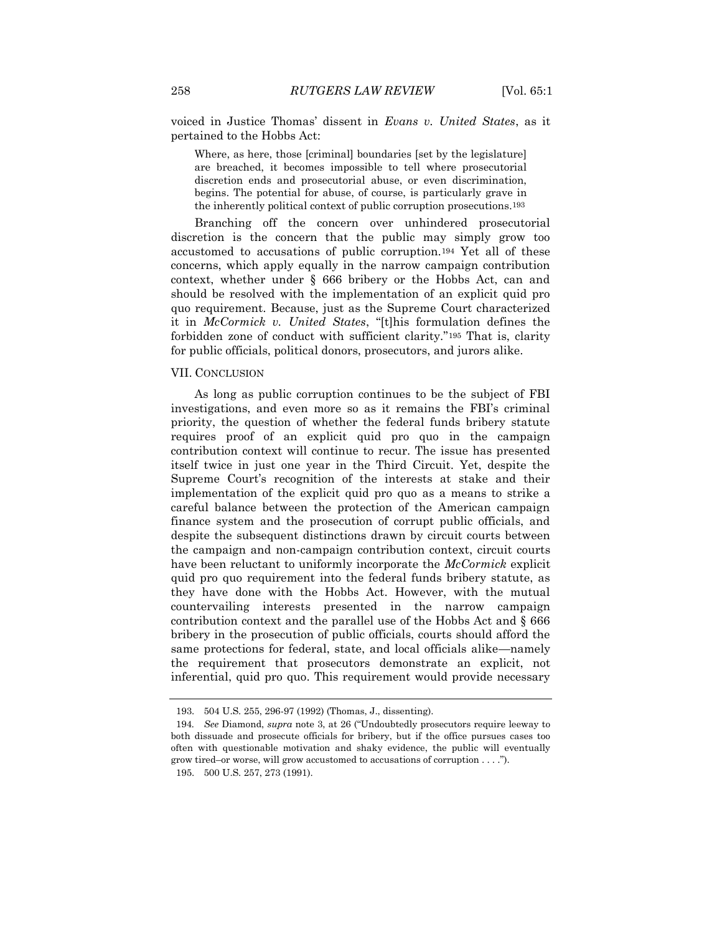voiced in Justice Thomas' dissent in *Evans v. United States*, as it pertained to the Hobbs Act:

Where, as here, those [criminal] boundaries [set by the legislature] are breached, it becomes impossible to tell where prosecutorial discretion ends and prosecutorial abuse, or even discrimination, begins. The potential for abuse, of course, is particularly grave in the inherently political context of public corruption prosecutions.193

Branching off the concern over unhindered prosecutorial discretion is the concern that the public may simply grow too accustomed to accusations of public corruption.<sup>194</sup> Yet all of these concerns, which apply equally in the narrow campaign contribution context, whether under § 666 bribery or the Hobbs Act, can and should be resolved with the implementation of an explicit quid pro quo requirement. Because, just as the Supreme Court characterized it in *McCormick v. United States*, "[t]his formulation defines the forbidden zone of conduct with sufficient clarity."<sup>195</sup> That is, clarity for public officials, political donors, prosecutors, and jurors alike.

#### VII. CONCLUSION

As long as public corruption continues to be the subject of FBI investigations, and even more so as it remains the FBI's criminal priority, the question of whether the federal funds bribery statute requires proof of an explicit quid pro quo in the campaign contribution context will continue to recur. The issue has presented itself twice in just one year in the Third Circuit. Yet, despite the Supreme Court's recognition of the interests at stake and their implementation of the explicit quid pro quo as a means to strike a careful balance between the protection of the American campaign finance system and the prosecution of corrupt public officials, and despite the subsequent distinctions drawn by circuit courts between the campaign and non-campaign contribution context, circuit courts have been reluctant to uniformly incorporate the *McCormick* explicit quid pro quo requirement into the federal funds bribery statute, as they have done with the Hobbs Act. However, with the mutual countervailing interests presented in the narrow campaign contribution context and the parallel use of the Hobbs Act and § 666 bribery in the prosecution of public officials, courts should afford the same protections for federal, state, and local officials alike—namely the requirement that prosecutors demonstrate an explicit, not inferential, quid pro quo. This requirement would provide necessary

<sup>193.</sup> 504 U.S. 255, 296-97 (1992) (Thomas, J., dissenting).

<sup>194</sup>*. See* Diamond, *supra* note 3, at 26 ("Undoubtedly prosecutors require leeway to both dissuade and prosecute officials for bribery, but if the office pursues cases too often with questionable motivation and shaky evidence, the public will eventually grow tired–or worse, will grow accustomed to accusations of corruption . . . .").

<sup>195.</sup> 500 U.S. 257, 273 (1991).